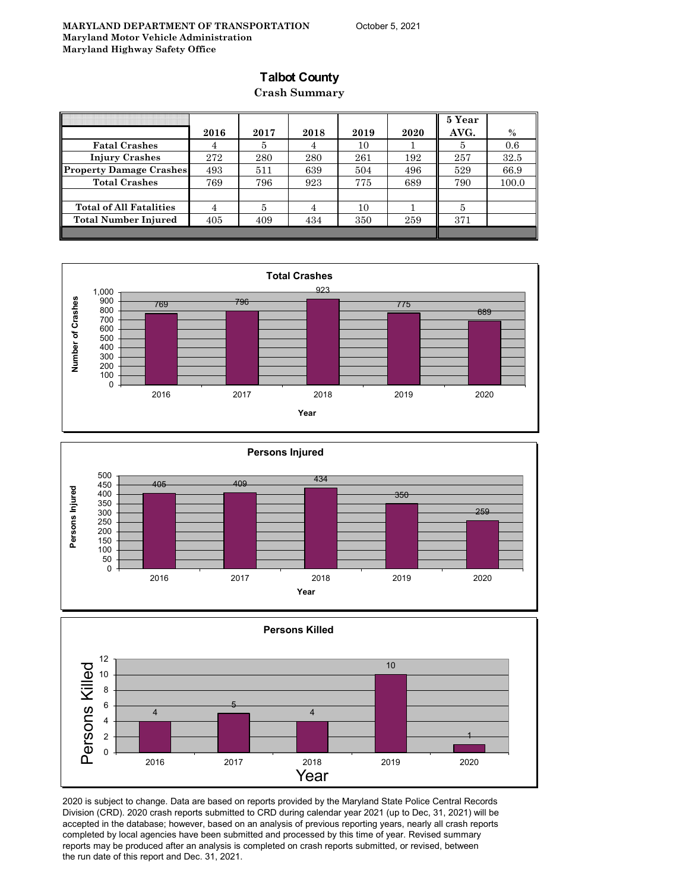### **Talbot County**

**Crash Summary**

|                                |      |      |      |      |      | 5 Year |       |
|--------------------------------|------|------|------|------|------|--------|-------|
|                                | 2016 | 2017 | 2018 | 2019 | 2020 | AVG.   | $\%$  |
| <b>Fatal Crashes</b>           | 4    | 5    | 4    | 10   |      | 5      | 0.6   |
| <b>Injury Crashes</b>          | 272  | 280  | 280  | 261  | 192  | 257    | 32.5  |
| <b>Property Damage Crashes</b> | 493  | 511  | 639  | 504  | 496  | 529    | 66.9  |
| <b>Total Crashes</b>           | 769  | 796  | 923  | 775  | 689  | 790    | 100.0 |
|                                |      |      |      |      |      |        |       |
| <b>Total of All Fatalities</b> | 4    | 5    | 4    | 10   |      | 5      |       |
| Total Number Injured           | 405  | 409  | 434  | 350  | 259  | 371    |       |
|                                |      |      |      |      |      |        |       |







2020 is subject to change. Data are based on reports provided by the Maryland State Police Central Records Division (CRD). 2020 crash reports submitted to CRD during calendar year 2021 (up to Dec, 31, 2021) will be accepted in the database; however, based on an analysis of previous reporting years, nearly all crash reports completed by local agencies have been submitted and processed by this time of year. Revised summary reports may be produced after an analysis is completed on crash reports submitted, or revised, between the run date of this report and Dec. 31, 2021.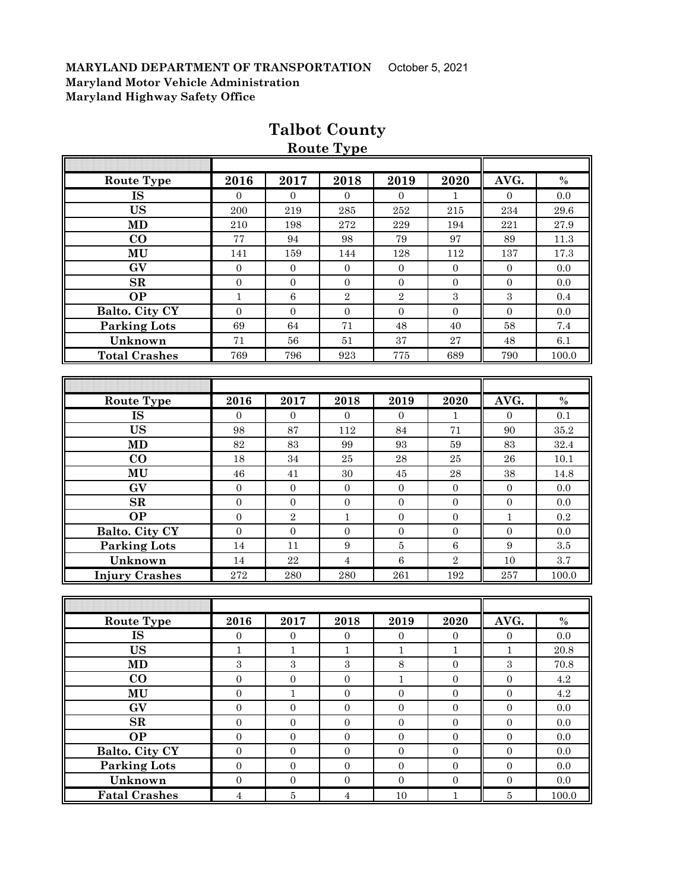| Route Type            | 2016             | 2017             | 2018             | 2019             | 2020             | AVG.             | $\%$     |
|-----------------------|------------------|------------------|------------------|------------------|------------------|------------------|----------|
| <b>IS</b>             | $\mathbf{0}$     | $\theta$         | $\overline{0}$   | $\overline{0}$   | 1                | $\boldsymbol{0}$ | 0.0      |
| <b>US</b>             | 200              | 219              | $\bf 285$        | 252              | 215              | 234              | $29.6\,$ |
| <b>MD</b>             | 210              | 198              | 272              | 229              | 194              | 221              | 27.9     |
| $\bf CO$              | 77               | 94               | 98               | 79               | 97               | 89               | $11.3\,$ |
| MU                    | 141              | 159              | 144              | 128              | 112              | 137              | 17.3     |
| GV                    | $\overline{0}$   | $\boldsymbol{0}$ | $\boldsymbol{0}$ | $\overline{0}$   | $\overline{0}$   | $\boldsymbol{0}$ | 0.0      |
| $\mathbf{SR}$         | $\overline{0}$   | $\boldsymbol{0}$ | $\boldsymbol{0}$ | $\boldsymbol{0}$ | $\boldsymbol{0}$ | $\mathbf{0}$     | 0.0      |
| <b>OP</b>             | $\mathbf{1}$     | $\,6\,$          | $\sqrt{2}$       | $\,2$            | $\sqrt{3}$       | $\boldsymbol{3}$ | 0.4      |
| Balto. City CY        | $\boldsymbol{0}$ | $\boldsymbol{0}$ | $\boldsymbol{0}$ | $\boldsymbol{0}$ | $\mathbf{0}$     | $\boldsymbol{0}$ | 0.0      |
| <b>Parking Lots</b>   | 69               | 64               | 71               | 48               | 40               | 58               | 7.4      |
| Unknown               | 71               | $56\,$           | 51               | $37\,$           | $\sqrt{27}$      | 48               | $6.1\,$  |
| <b>Total Crashes</b>  | 769              | 796              | 923              | 775              | 689              | 790              | 100.0    |
|                       |                  |                  |                  |                  |                  |                  |          |
|                       |                  |                  |                  |                  |                  |                  |          |
| <b>Route Type</b>     | 2016             | 2017             | 2018             | 2019             | 2020             | AVG.             | $\%$     |
| <b>IS</b>             | $\Omega$         | $\Omega$         | $\Omega$         | $\Omega$         | $\mathbf{1}$     | $\Omega$         | 0.1      |
| <b>US</b>             | 98               | 87               | 112              | 84               | 71               | 90               | 35.2     |
| MD                    | 82               | 83               | 99               | 93               | $\bf 59$         | 83               | 32.4     |
| $\bf CO$              | 18               | 34               | $25\,$           | ${\bf 28}$       | $\bf 25$         | 26               | 10.1     |
| MU                    | 46               | 41               | $30\,$           | $\rm 45$         | ${\bf 28}$       | 38               | 14.8     |
| GV                    | $\boldsymbol{0}$ | $\boldsymbol{0}$ | $\boldsymbol{0}$ | $\mathbf{0}$     | $\overline{0}$   | $\boldsymbol{0}$ | 0.0      |
| $\mathbf{SR}$         | $\boldsymbol{0}$ | $\boldsymbol{0}$ | $\boldsymbol{0}$ | $\boldsymbol{0}$ | $\overline{0}$   | $\boldsymbol{0}$ | 0.0      |
| <b>OP</b>             | $\boldsymbol{0}$ | $\sqrt{2}$       | $\mathbf 1$      | $\overline{0}$   | $\boldsymbol{0}$ | $\mathbf{1}$     | 0.2      |
| Balto. City CY        | $\boldsymbol{0}$ | $\boldsymbol{0}$ | $\boldsymbol{0}$ | $\overline{0}$   | $\boldsymbol{0}$ | $\boldsymbol{0}$ | 0.0      |
| <b>Parking Lots</b>   | 14               | 11               | $\boldsymbol{9}$ | $\overline{5}$   | $\,6\,$          | $\boldsymbol{9}$ | $\!.5$   |
| Unknown               | 14               | $\bf{22}$        | $\overline{4}$   | $6\phantom{1}$   | $\sqrt{2}$       | 10               | 3.7      |
| <b>Injury Crashes</b> | 272              | 280              | 280              | 261              | 192              | 257              | 100.0    |
|                       |                  |                  |                  |                  |                  |                  |          |
|                       |                  |                  |                  |                  |                  |                  |          |
| Route Type            | 2016             | 2017             | 2018             | 2019             | 2020             | AVG.             | $\%$     |
| <b>IS</b>             | $\mathbf{0}$     | $\boldsymbol{0}$ | $\boldsymbol{0}$ | $\mathbf{0}$     | $\mathbf{0}$     | $\boldsymbol{0}$ | 0.0      |
| <b>US</b>             | $\mathbf 1$      | $\,1\,$          | $\,1\,$          | $\,1$            | $\,1\,$          | $\mathbf{1}$     | 20.8     |
| MD                    | $\,3$            | $\,3$            | $\,3$            | 8                | $\boldsymbol{0}$ | $\sqrt{3}$       | 70.8     |
| $\bf CO$              | $\overline{0}$   | $\overline{0}$   | $\overline{0}$   | $\mathbf{1}$     | $\overline{0}$   | $\overline{0}$   | 4.2      |
| MU                    | $\boldsymbol{0}$ | $\mathbf{1}$     | $\boldsymbol{0}$ | $\boldsymbol{0}$ | $\boldsymbol{0}$ | $\boldsymbol{0}$ | 4.2      |
| $G\overline{V}$       | $\overline{0}$   | $\boldsymbol{0}$ | $\overline{0}$   | $\boldsymbol{0}$ | $\boldsymbol{0}$ | $\overline{0}$   | 0.0      |
| ${\bf SR}$            | $\boldsymbol{0}$ | $\boldsymbol{0}$ | $\boldsymbol{0}$ | $\boldsymbol{0}$ | $\boldsymbol{0}$ | $\boldsymbol{0}$ | $0.0\,$  |
| <b>OP</b>             | $\boldsymbol{0}$ | $\boldsymbol{0}$ | $\boldsymbol{0}$ | $\boldsymbol{0}$ | $\mathbf{0}$     | $\boldsymbol{0}$ | $0.0\,$  |
| <b>Balto. City CY</b> | $\boldsymbol{0}$ | $\boldsymbol{0}$ | $\boldsymbol{0}$ | $\boldsymbol{0}$ | $\boldsymbol{0}$ | $\boldsymbol{0}$ | $0.0\,$  |
| <b>Parking Lots</b>   | $\boldsymbol{0}$ | $\mathbf{0}$     | $\boldsymbol{0}$ | $\boldsymbol{0}$ | $\boldsymbol{0}$ | $\boldsymbol{0}$ | $0.0\,$  |
| Unknown               | $\boldsymbol{0}$ | $\boldsymbol{0}$ | $\boldsymbol{0}$ | $\boldsymbol{0}$ | $\boldsymbol{0}$ | $\boldsymbol{0}$ | 0.0      |

**Fatal Crashes** 4 5 4 10 1 5 100.0

### **Talbot County Route Type**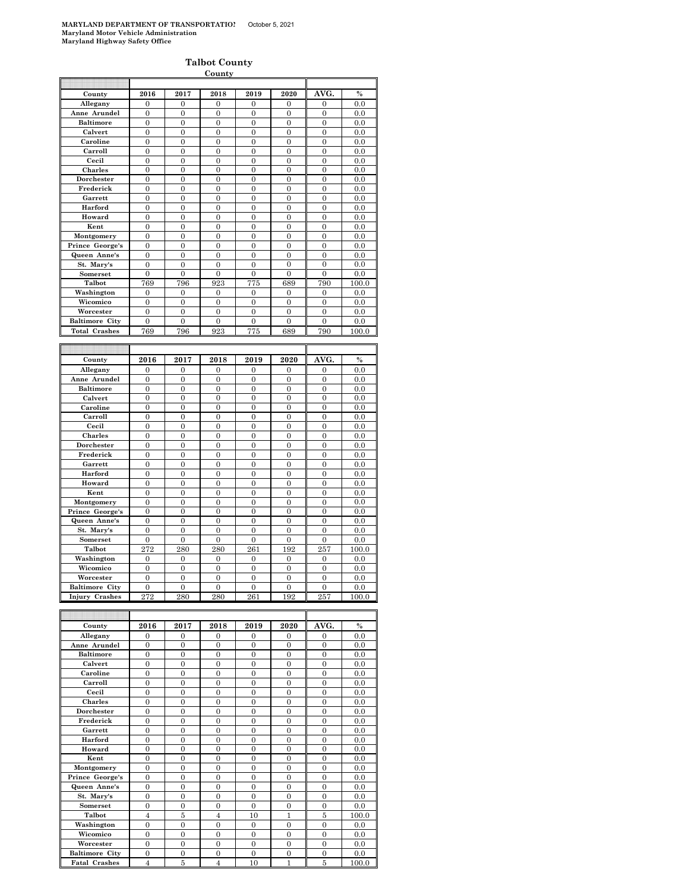|                                 |                                    |                                    | <b>County</b>                  |                                  |                                |                                |            |
|---------------------------------|------------------------------------|------------------------------------|--------------------------------|----------------------------------|--------------------------------|--------------------------------|------------|
|                                 |                                    |                                    |                                |                                  |                                |                                |            |
| County                          | 2016                               | 2017                               | 2018                           | 2019                             | 2020                           | AVG.                           | $\%$       |
| Allegany                        | $\overline{0}$                     | 0                                  | $\overline{0}$                 | $\mathbf{0}$                     | $\mathbf{0}$                   | $\mathbf{0}$                   | 0.0        |
| Anne Arundel                    | $\theta$                           | $\Omega$                           | $\theta$                       | $\Omega$                         | $\theta$                       | $\Omega$                       | 0.0        |
| <b>Baltimore</b>                | $\mathbf{0}$                       | $\overline{0}$                     | $\overline{0}$                 | $\boldsymbol{0}$                 | $\overline{0}$                 | $\mathbf{0}$                   | 0.0        |
| Calvert                         | $\overline{0}$                     | $\overline{0}$                     | $\overline{0}$                 | $\overline{0}$                   | $\overline{0}$                 | $\overline{0}$                 | 0.0        |
| Caroline                        | $\overline{0}$                     | $\boldsymbol{0}$                   | $\overline{0}$                 | $\boldsymbol{0}$                 | $\overline{0}$                 | $\mathbf{0}$                   | 0.0        |
| Carroll                         | $\theta$                           | $\theta$                           | $\theta$                       | $\theta$                         | $\theta$                       | $\theta$                       | 0.0        |
| Cecil                           | $\overline{0}$                     | $\mathbf{0}$                       | $\overline{0}$                 | $\overline{0}$                   | $\overline{0}$                 | $\mathbf{0}$                   | 0.0        |
| Charles                         | $\overline{0}$                     | $\overline{0}$                     | $\overline{0}$                 | $\overline{0}$                   | $\overline{0}$                 | $\overline{0}$                 | 0.0        |
| Dorchester                      | 0                                  | 0                                  | 0                              | $\bf{0}$                         | 0                              | $\bf{0}$                       | 0.0        |
| Frederick                       | $\overline{0}$                     | $\overline{0}$                     | $\overline{0}$                 | $\overline{0}$                   | $\overline{0}$                 | $\overline{0}$                 | 0.0        |
| Garrett                         | $\overline{0}$                     | $\theta$                           | $\overline{0}$                 | $\overline{0}$                   | $\theta$                       | $\overline{0}$                 | 0.0        |
| Harford                         | $\mathbf{0}$                       | $\boldsymbol{0}$                   | $\mathbf{0}$                   | $\mathbf{0}$                     | $\mathbf{0}$                   | $\boldsymbol{0}$               | 0.0        |
| Howard                          | $\overline{0}$                     | $\overline{0}$                     | $\overline{0}$                 | $\overline{0}$                   | $\overline{0}$                 | $\overline{0}$                 | 0.0        |
| Kent                            | $\overline{0}$                     | $\mathbf{0}$                       | $\overline{0}$                 | $\overline{0}$                   | $\overline{0}$                 | $\overline{0}$                 | 0.0        |
| Montgomery                      | $\overline{0}$                     | $\Omega$                           | $\theta$                       | $\overline{0}$                   | $\theta$                       | $\overline{0}$                 | 0.0        |
| Prince George's                 | $\mathbf{0}$                       | $\mathbf{0}$                       | $\overline{0}$                 | $\boldsymbol{0}$                 | $\mathbf{0}$                   | $\mathbf{0}$                   | 0.0        |
| Queen Anne's                    | $\overline{0}$                     | $\overline{0}$                     | $\overline{0}$                 | $\mathbf{0}$                     | $\overline{0}$                 | $\overline{0}$                 | 0.0        |
| St. Mary's                      | $\theta$                           | $\theta$                           | $\theta$                       | $\theta$                         | $\theta$                       | $\theta$                       | 0.0        |
| Somerset                        | $\boldsymbol{0}$                   | $\overline{0}$                     | $\overline{0}$                 | $\boldsymbol{0}$                 | $\overline{0}$                 | $\overline{0}$                 | 0.0        |
| Talbot                          | 769                                | 796                                | 923                            | 775                              | 689                            | 790                            | 100.0      |
| Washington                      | $\overline{0}$                     | $\overline{0}$                     | $\mathbf{0}$                   | $\boldsymbol{0}$                 | $\overline{0}$                 | $\overline{0}$                 | 0.0        |
| Wicomico                        | $\overline{0}$                     | $\mathbf{0}$                       | $\overline{0}$                 | $\overline{0}$                   | $\mathbf{0}$                   | $\overline{0}$                 | 0.0        |
| Worcester                       | $\overline{0}$                     | $\overline{0}$                     | $\overline{0}$                 | $\overline{0}$                   | $\mathbf{0}$                   | $\mathbf{0}$                   | 0.0        |
| <b>Baltimore City</b>           | $\mathbf{0}$                       | $\overline{0}$                     | $\overline{0}$                 | $\overline{0}$                   | $\overline{0}$                 | $\mathbf{0}$                   | 0.0        |
| <b>Total Crashes</b>            | 769                                | 796                                | 923                            | 775                              | 689                            | 790                            | $_{100.0}$ |
|                                 |                                    |                                    |                                |                                  |                                |                                |            |
|                                 |                                    |                                    |                                |                                  |                                |                                |            |
|                                 |                                    |                                    |                                |                                  |                                |                                |            |
| County                          | 2016                               | 2017                               | 2018                           | 2019                             | 2020                           | AVG.                           | $\%$       |
| Allegany                        | 0                                  | 0                                  | 0                              | $\mathbf{0}$                     | 0                              | $\Omega$                       | 0.0        |
| Anne Arundel                    | $\overline{0}$                     | $\overline{0}$                     | $\overline{0}$                 | $\overline{0}$                   | $\overline{0}$                 | $\overline{0}$                 | 0.0        |
| <b>Baltimore</b>                | $\overline{0}$                     | $\overline{0}$                     | $\overline{0}$                 | $\overline{0}$                   | $\mathbf{0}$                   | $\overline{0}$                 | 0.0        |
| Calvert                         | $\overline{0}$                     | $\overline{0}$                     | $\overline{0}$                 | $\overline{0}$                   | $\overline{0}$                 | $\overline{0}$                 | 0.0        |
| Caroline                        | $\overline{0}$                     | $\overline{0}$                     | $\overline{0}$                 | $\overline{0}$                   | $\overline{0}$                 | $\overline{0}$                 | 0.0        |
| Carroll                         | $\mathbf{0}$                       | $\boldsymbol{0}$                   | $\mathbf{0}$                   | $\mathbf{0}$                     | $\bf{0}$                       | $\mathbf{0}$                   | 0.0        |
| Cecil                           | $\overline{0}$                     | $\overline{0}$                     | $\overline{0}$                 | $\overline{0}$                   | $\overline{0}$                 | $\overline{0}$                 | 0.0        |
| <b>Charles</b>                  | $\overline{0}$                     | $\theta$                           | $\theta$                       | $\overline{0}$                   | $\theta$                       | $\theta$                       | 0.0        |
| Dorchester                      | $\overline{0}$                     | $\overline{0}$                     | $\overline{0}$                 | $\overline{0}$                   | $\overline{0}$                 | $\overline{0}$                 | 0.0        |
| Frederick                       | $\overline{0}$                     | $\overline{0}$                     | $\overline{0}$                 | $\overline{0}$                   | $\overline{0}$                 | $\overline{0}$                 | 0.0        |
| Garrett<br>Harford              | $\mathbf{0}$<br>$\theta$           | $\boldsymbol{0}$<br>$\theta$       | $\mathbf{0}$                   | $\bf{0}$                         | $\bf{0}$<br>$\theta$           | $\boldsymbol{0}$               | 0.0        |
|                                 |                                    |                                    | $\overline{0}$                 | $\overline{0}$                   |                                | $\overline{0}$                 | 0.0        |
| Howard<br>Kent                  | $\mathbf{0}$                       | $\boldsymbol{0}$                   | $\mathbf{0}$                   | $\overline{0}$                   | $\overline{0}$                 | $\boldsymbol{0}$               | 0.0        |
|                                 | $\mathbf{0}$                       | $\mathbf{0}$                       | $\mathbf{0}$                   | $\boldsymbol{0}$                 | 0                              | $\boldsymbol{0}$               | 0.0        |
| Montgomery                      | $\boldsymbol{0}$<br>$\overline{0}$ | $\boldsymbol{0}$<br>$\overline{0}$ | $\mathbf{0}$<br>$\overline{0}$ | $\mathbf{0}$<br>$\overline{0}$   | $\bf{0}$<br>$\overline{0}$     | $\boldsymbol{0}$               | 0.0        |
| Prince George's<br>Queen Anne's | $\overline{0}$                     | $\theta$                           | $\overline{0}$                 | $\overline{0}$                   | $\theta$                       | $\mathbf{0}$<br>$\theta$       | 0.0<br>0.0 |
|                                 |                                    |                                    |                                |                                  |                                |                                |            |
| St. Mary's<br>Somerset          | $\mathbf{0}$<br>$\overline{0}$     | $\boldsymbol{0}$<br>$\overline{0}$ | $\mathbf{0}$<br>$\overline{0}$ | $\boldsymbol{0}$<br>$\mathbf{0}$ | $\mathbf{0}$<br>$\overline{0}$ | $\mathbf{0}$<br>$\overline{0}$ | 0.0<br>0.0 |
| Talbot                          | 272                                | 280                                | 280                            | 261                              | 192                            | 257                            | 100.0      |
| Washington                      | $\overline{0}$                     | $\theta$                           | $\overline{0}$                 | $\overline{0}$                   | $\overline{0}$                 | $\overline{0}$                 |            |
| Wicomico                        | $\boldsymbol{0}$                   | $\boldsymbol{0}$                   | $\mathbf{0}$                   | $\boldsymbol{0}$                 | 0                              | $\boldsymbol{0}$               | 0.0<br>0.0 |
| Worcester                       | $\boldsymbol{0}$                   | $\mathbf{0}$                       | $\overline{0}$                 | $\boldsymbol{0}$                 | $\boldsymbol{0}$               | $\overline{0}$                 | 0.0        |
| <b>Baltimore City</b>           | $\Omega$                           | $\Omega$                           | $\theta$                       | $\Omega$                         | $\theta$                       | $\Omega$                       | 0.0        |
| Injury Crashes                  | 272                                | 280                                | 280                            | 261                              | 192                            | 257                            | 100.0      |

| County                | 2016           | 2017           | 2018           | 2019     | 2020           | AVG.           | $\%$  |
|-----------------------|----------------|----------------|----------------|----------|----------------|----------------|-------|
| Allegany              | $\Omega$       | $\Omega$       | $\Omega$       | $\Omega$ | $\Omega$       | $\Omega$       | 0.0   |
| Anne Arundel          | $\overline{0}$ | $\theta$       | $\theta$       | $\theta$ | $\Omega$       | $\Omega$       | 0.0   |
| <b>Baltimore</b>      | $\theta$       | $\theta$       | $\theta$       | $\Omega$ | $\Omega$       | $\Omega$       | 0.0   |
| Calvert               | $\theta$       | $\theta$       | $\theta$       | $\theta$ | $\theta$       | $\Omega$       | 0.0   |
| Caroline              | $\overline{0}$ | $\overline{0}$ | $\theta$       | $\theta$ | $\theta$       | $\Omega$       | 0.0   |
| Carroll               | $\theta$       | $\theta$       | $\theta$       | $\theta$ | $\theta$       | $\Omega$       | 0.0   |
| Cecil                 | $\theta$       | $\theta$       | $\theta$       | $\theta$ | $\theta$       | $\theta$       | 0.0   |
| <b>Charles</b>        | $\theta$       | $\theta$       | $\theta$       | $\theta$ | $\theta$       | $\Omega$       | 0.0   |
| Dorchester            | $\overline{0}$ | $\overline{0}$ | $\theta$       | $\theta$ | $\overline{0}$ | $\Omega$       | 0.0   |
| Frederick             | $\overline{0}$ | $\theta$       | $\theta$       | $\theta$ | $\Omega$       | $\overline{0}$ | 0.0   |
| Garrett               | $\theta$       | $\theta$       | $\theta$       | $\theta$ | $\Omega$       | $\theta$       | 0.0   |
| Harford               | $\overline{0}$ | $\theta$       | $\theta$       | $\theta$ | $\theta$       | $\Omega$       | 0.0   |
| Howard                | $\theta$       | $\Omega$       | $\theta$       | $\theta$ | $\Omega$       | $\Omega$       | 0.0   |
| Kent                  | $\overline{0}$ | $\theta$       | $\theta$       | $\Omega$ | $\Omega$       | $\Omega$       | 0.0   |
| Montgomery            | $\theta$       | $\theta$       | $\theta$       | $\theta$ | $\theta$       | $\theta$       | 0.0   |
| Prince George's       | $\theta$       | $\theta$       | $\theta$       | $\theta$ | $\theta$       | $\Omega$       | 0.0   |
| Queen Anne's          | $\overline{0}$ | $\overline{0}$ | $\theta$       | $\Omega$ | $\overline{0}$ | $\Omega$       | 0.0   |
| St. Mary's            | $\theta$       | $\theta$       | $\theta$       | $\theta$ | $\Omega$       | $\Omega$       | 0.0   |
| Somerset              | $\overline{0}$ | $\theta$       | $\theta$       | $\theta$ | $\theta$       | $\theta$       | 0.0   |
| Talbot                | $\overline{4}$ | 5              | $\overline{4}$ | 10       | 1              | 5              | 100.0 |
| Washington            | $\theta$       | $\theta$       | $\theta$       | $\Omega$ | $\theta$       | $\Omega$       | 0.0   |
| Wicomico              | $\overline{0}$ | $\theta$       | $\theta$       | $\Omega$ | $\overline{0}$ | $\Omega$       | 0.0   |
| Worcester             | $\theta$       | $\theta$       | $\theta$       | $\Omega$ | $\Omega$       | $\Omega$       | 0.0   |
| <b>Baltimore City</b> | $\theta$       | $\theta$       | $\theta$       | $\theta$ | $\theta$       | $\theta$       | 0.0   |
| <b>Fatal Crashes</b>  | $\overline{4}$ | 5              | 4              | 10       | 1              | 5              | 100.0 |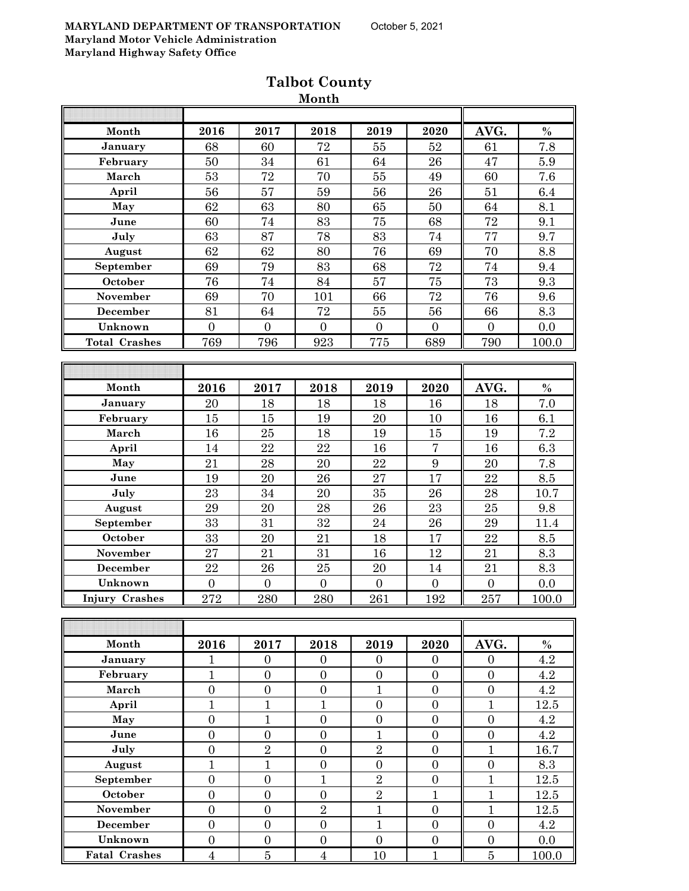| 2016             | 2017             | 2018             | 2019             | 2020             | AVG.             | $\%$             |
|------------------|------------------|------------------|------------------|------------------|------------------|------------------|
| 68               | 60               | 72               | 55               | 52               | 61               | 7.8              |
| 50               | 34               | 61               | 64               | 26               | 47               | 5.9              |
| 53               | 72               | 70               | 55               | 49               | 60               | 7.6              |
| 56               | 57               | 59               | 56               | 26               | 51               | 6.4              |
| 62               | 63               | 80               | 65               | 50               | 64               | 8.1              |
| 60               | 74               | 83               | 75               | 68               | 72               | 9.1              |
| 63               | 87               | 78               | 83               | 74               | 77               | 9.7              |
| 62               | 62               | 80               | 76               | 69               | 70               | 8.8              |
| 69               | 79               | 83               | 68               | 72               | 74               | 9.4              |
| 76               | 74               | 84               | 57               | 75               | 73               | 9.3              |
| 69               | 70               | 101              | 66               | 72               | 76               | 9.6              |
| 81               | 64               | 72               | 55               | 56               | 66               | 8.3              |
| $\overline{0}$   | $\overline{0}$   | $\overline{0}$   | $\overline{0}$   | $\overline{0}$   | $\overline{0}$   | 0.0              |
| 769              | 796              | 923              | 775              | 689              | 790              | 100.0            |
|                  |                  |                  |                  |                  |                  |                  |
|                  |                  |                  |                  |                  |                  |                  |
| 2016             | 2017             | 2018             | 2019             | 2020             | AVG.             | $\%$             |
| 20               | 18               | 18               | 18               | 16               | 18               | 7.0              |
| 15               | 15               | 19               | 20               | 10               | 16               | 6.1              |
| 16               | 25               | 18               | 19               | 15               | 19               | 7.2              |
| 14               | 22               | 22               | 16               | $\overline{7}$   | 16               | 6.3              |
| 21               | 28               | 20               | 22               | 9                | 20               | $\overline{7.8}$ |
| 19               | 20               | 26               | 27               | 17               | 22               | $\!\!\!\!\!8.5$  |
| 23               | 34               | 20               | 35               | 26               | 28               | 10.7             |
| 29               | 20               | 28               | 26               | 23               | 25               | 9.8              |
|                  |                  |                  | 24               | 26               | 29               | 11.4             |
| 33               | 20               | 21               | 18               | 17               | 22               | 8.5              |
|                  | 21               |                  | 16               | 12               |                  | 8.3              |
| 22               | 26               | 25               | 20               | 14               | 21               | 8.3              |
| $\boldsymbol{0}$ | $\boldsymbol{0}$ | $\overline{0}$   | $\boldsymbol{0}$ | $\boldsymbol{0}$ | $\boldsymbol{0}$ | 0.0              |
| 272              | 280              | 280              | 261              | 192              | 257              | 100.0            |
|                  |                  |                  |                  |                  |                  |                  |
|                  |                  |                  |                  |                  |                  |                  |
| 2016             | 2017             | 2018             | 2019             | 2020             | AVG.             | $\%$             |
| 1                | $\mathbf{0}$     | $\Omega$         | $\Omega$         | $\theta$         | $\Omega$         | 4.2              |
| $\mathbf{1}$     | $\overline{0}$   | $\boldsymbol{0}$ | $\boldsymbol{0}$ | $\overline{0}$   | $\overline{0}$   | 4.2              |
| $\overline{0}$   | $\overline{0}$   | $\boldsymbol{0}$ | $\mathbf{1}$     | $\overline{0}$   | $\overline{0}$   | 4.2              |
|                  | 33<br>27         | 31               | 32<br>31         | WIONUN           |                  | 21               |

### **Talbot County Month**

| April                |                |                |                |   |   | 12.5  |
|----------------------|----------------|----------------|----------------|---|---|-------|
| May                  |                |                |                |   |   | 4.2   |
| June                 |                |                |                |   |   | 4.2   |
| July                 | $\overline{2}$ | $\Omega$       | $\overline{2}$ | 0 |   | 16.7  |
| August               |                | 0              |                | 0 |   | 8.3   |
| September            | ∩              |                | $\overline{2}$ |   |   | 12.5  |
| October              |                |                | $\overline{2}$ |   |   | 12.5  |
| November             |                | $\overline{2}$ |                |   |   | 12.5  |
| December             |                |                |                |   |   | 4.2   |
| Unknown              |                | $\Omega$       | $\Omega$       |   |   | 0.0   |
| <b>Fatal Crashes</b> | 5              | 4              | 10             |   | 5 | 100.0 |
|                      |                |                |                |   |   |       |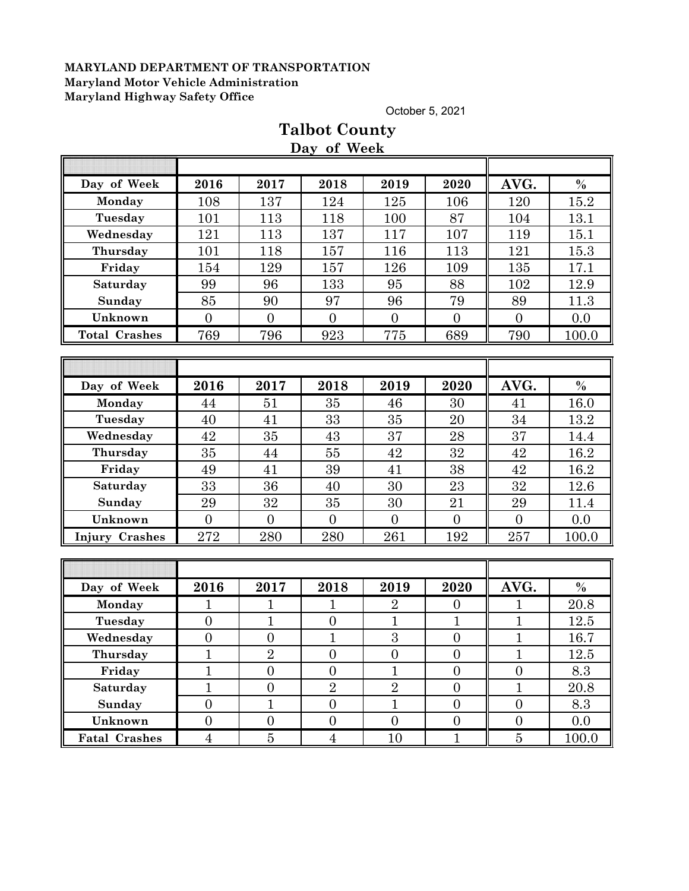October 5, 2021

|                       |                  |                  | Day of Week      |                  |                  |                  |               |
|-----------------------|------------------|------------------|------------------|------------------|------------------|------------------|---------------|
|                       |                  |                  |                  |                  |                  |                  |               |
| Day of Week           | 2016             | 2017             | 2018             | 2019             | 2020             | AVG.             | $\%$          |
| Monday                | 108              | 137              | 124              | 125              | 106              | 120              | 15.2          |
| Tuesday               | 101              | 113              | 118              | 100              | 87               | 104              | 13.1          |
| Wednesday             | 121              | 113              | 137              | 117              | 107              | 119              | 15.1          |
| Thursday              | 101              | 118              | 157              | 116              | 113              | 121              | 15.3          |
| Friday                | 154              | 129              | 157              | 126              | 109              | 135              | 17.1          |
| Saturday              | 99               | 96               | 133              | 95               | 88               | 102              | 12.9          |
| Sunday                | 85               | 90               | 97               | 96               | 79               | 89               | 11.3          |
| Unknown               | $\overline{0}$   | $\overline{0}$   | $\overline{0}$   | $\overline{0}$   | $\overline{0}$   | $\overline{0}$   | 0.0           |
| <b>Total Crashes</b>  | 769              | 796              | 923              | 775              | 689              | 790              | 100.0         |
|                       |                  |                  |                  |                  |                  |                  |               |
|                       |                  |                  |                  |                  |                  |                  |               |
| Day of Week           | 2016             | 2017             | 2018             | 2019             | 2020             | AVG.             | $\%$          |
| Monday                | 44               | 51               | 35               | 46               | 30               | 41               | 16.0          |
| Tuesday               | 40               | 41               | 33               | 35               | 20               | 34               | 13.2          |
| Wednesday             | 42               | 35               | 43               | 37               | 28               | $\rm 37$         | 14.4          |
| Thursday              | 35               | 44               | 55               | 42               | 32               | 42               | 16.2          |
| Friday                | 49               | 41               | 39               | 41               | 38               | 42               | 16.2          |
| Saturday              | 33               | 36               | 40               | 30               | 23               | 32               | 12.6          |
| Sunday                | 29               | 32               | 35               | 30               | 21               | 29               | 11.4          |
| Unknown               | $\overline{0}$   | $\overline{0}$   | $\overline{0}$   | $\overline{0}$   | $\overline{0}$   | $\overline{0}$   | 0.0           |
| <b>Injury Crashes</b> | 272              | 280              | 280              | 261              | 192              | 257              | 100.0         |
|                       |                  |                  |                  |                  |                  |                  |               |
|                       |                  |                  |                  |                  |                  |                  |               |
| Day of Week           | 2016             | 2017             | 2018             | 2019             | 2020             | AVG.             | $\frac{0}{0}$ |
| Monday                | 1                | 1                | 1                | $\overline{2}$   | $\boldsymbol{0}$ | 1                | 20.8          |
| Tuesday               | $\overline{0}$   | $\mathbf{1}$     | $\overline{0}$   | $\overline{1}$   | $\mathbf{1}$     | $\overline{1}$   | 12.5          |
| Wednesday             | $\boldsymbol{0}$ | $\overline{0}$   | $\mathbf{1}$     | 3                | $\boldsymbol{0}$ | $\mathbf{1}$     | 16.7          |
| Thursday              | $\mathbf{1}$     | $\overline{2}$   | $\boldsymbol{0}$ | $\boldsymbol{0}$ | $\boldsymbol{0}$ | $\mathbf 1$      | 12.5          |
| Friday                | $\overline{1}$   | $\overline{0}$   | $\overline{0}$   | $\mathbf{1}$     | $\overline{0}$   | $\boldsymbol{0}$ | 8.3           |
| Saturday              | $\mathbf{1}$     | $\boldsymbol{0}$ | $\overline{2}$   | $\overline{2}$   | $\overline{0}$   | $\mathbf{1}$     | 20.8          |
| Sunday                | $\boldsymbol{0}$ | $\mathbf{1}$     | $\boldsymbol{0}$ | $\mathbf{1}$     | $\overline{0}$   | $\boldsymbol{0}$ | 8.3           |
| Unknown               | $\boldsymbol{0}$ | $\overline{0}$   | $\boldsymbol{0}$ | $\overline{0}$   | $\boldsymbol{0}$ | $\boldsymbol{0}$ | 0.0           |
| <b>Fatal Crashes</b>  | $\overline{4}$   | $\bf 5$          | $\overline{4}$   | 10               | $\mathbf 1$      | $\bf 5$          | 100.0         |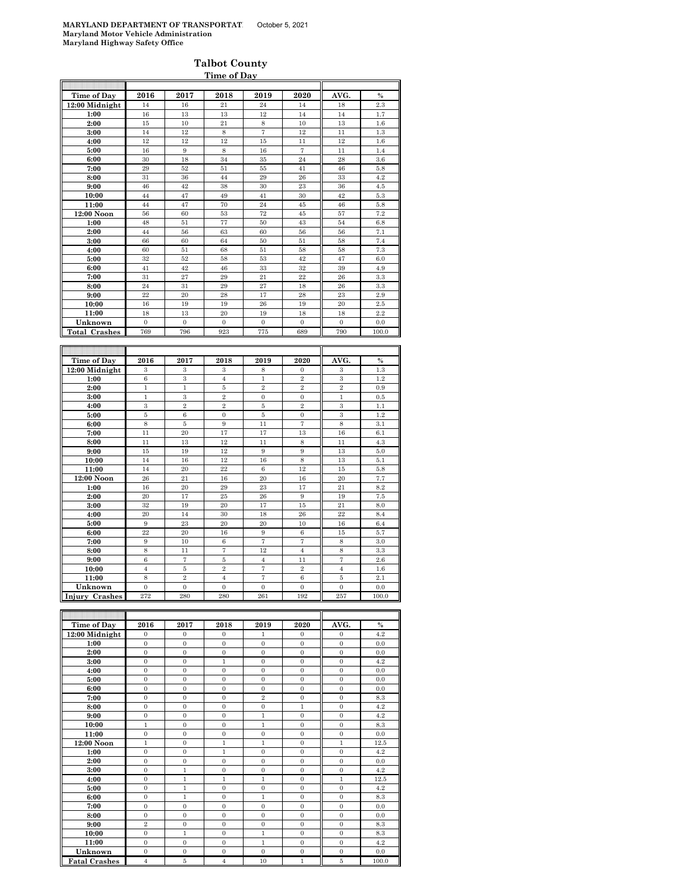|                      |                         |                  | Time of Day      |                   |                  |                         |         |
|----------------------|-------------------------|------------------|------------------|-------------------|------------------|-------------------------|---------|
| <b>Time of Day</b>   | 2016                    | 2017             | 2018             | 2019              | 2020             | AVG.                    | $\%$    |
| 12:00 Midnight       | 14                      | 16               | 21               | 24                | 14               | 18                      | 2.3     |
| 1:00                 | 16                      | 13               | 13               | 12                | 14               | 14                      | 1.7     |
| 2:00                 | 15                      | 10               | 21               | $\,$ 8 $\,$       | 10               | 13                      | 1.6     |
| 3:00                 | 14                      | 12               | 8                | $\scriptstyle{7}$ | 12               | 11                      | $1.3\,$ |
| 4:00                 | 12                      | 12               | 12               | 15                | 11               | 12                      | 1.6     |
| 5:00                 | 16                      | $\boldsymbol{9}$ | 8                | 16                | $\overline{7}$   | 11                      | 1.4     |
| 6:00                 | 30                      | 18               | 34               | 35                | 24               | 28                      | 3.6     |
| 7:00                 | 29                      | 52               | 51               | 55                | 41               | 46                      | $5.8\,$ |
| 8:00                 | 31                      | 36               | 44               | 29                | 26               | 33                      | $4.2\,$ |
| 9:00                 | 46                      | 42               | 38               | 30                | 23               | 36                      | 4.5     |
| 10:00                | 44                      | 47               | 49               | 41                | 30               | 42                      | 5.3     |
| 11:00                | 44                      | 47               | 70               | 24                | 45               | 46                      | 5.8     |
| 12:00 Noon           | 56                      | 60               | 53               | 72                | $45\,$           | 57                      | 7.2     |
| 1:00                 | 48                      | 51               | 77               | 50                | 43               | 54                      | 6.8     |
| 2:00                 | 44                      | 56               | 63               | 60                | 56               | 56                      | 7.1     |
| 3:00                 | 66                      | 60               | 64               | 50                | 51               | 58                      | 7.4     |
| 4:00                 | 60                      | 51               | 68               | 51                | 58               | 58                      | 7.3     |
| 5:00                 | 32                      | 52               | 58               | 53                | 42               | 47                      | 6.0     |
| 6:00                 | 41                      | 42               | 46               | 33                | 32               | 39                      | 4.9     |
| 7:00                 | 31                      | 27               | 29               | 21                | 22               | 26                      | 3.3     |
| 8:00                 | 24                      | 31               | 29               | 27                | 18               | 26                      | 3.3     |
| 9:00                 | 22                      | 20               | 28               | 17                | 28               | 23                      | 2.9     |
| 10:00                | 16                      | 19               | 19               | 26                | 19               | 20                      | $2.5\,$ |
| 11:00                | 18                      | 13               | 20               | 19                | 18               | 18                      | 2.2     |
| Unknown              | $\Omega$                | $\mathbf{0}$     | $\Omega$         | $\Omega$          | $\mathbf{0}$     | $\Omega$                | 0.0     |
| <b>Total Crashes</b> | 769                     | 796              | 923              | 775               | 689              | 790                     | 100.0   |
|                      |                         |                  |                  |                   |                  |                         |         |
|                      |                         |                  |                  |                   |                  |                         |         |
|                      |                         |                  |                  |                   |                  |                         |         |
| Time of Day          | 2016                    | 2017             | 2018             | 2019              | 2020             | AVG.                    | $\%$    |
| 12:00 Midnight       | $\overline{\mathbf{3}}$ | 3                | 3                | 8                 | $\boldsymbol{0}$ | $\overline{\mathbf{3}}$ | 1.3     |
| 1:00                 | $\,6$                   | $\,3$            | $\overline{4}$   | $\,1$             | $\,2$            | $\,3\,$                 | 1.2     |
| 2:00                 | $\,1$                   | $\mathbf{1}$     | $\bf 5$          | $\overline{2}$    | $\overline{2}$   | $\,2\,$                 | 0.9     |
| 3:00                 | $\mathbf{1}$            | $\boldsymbol{3}$ | $\overline{2}$   | $\overline{0}$    | $\mathbf 0$      | $\,1$                   | 0.5     |
| 4:00                 | $\,3\,$                 | $\overline{2}$   | $\overline{2}$   | $5\,$             | $\overline{2}$   | $\overline{3}$          | 1.1     |
| 5:00                 | $\overline{5}$          | $\,6$            | $\boldsymbol{0}$ | $\bf 5$           | $\mathbf{0}$     | $\,3\,$                 | 1.2     |
| 6:00                 | 8                       | $\bf 5$          | 9                | 11                | $\overline{7}$   | 8                       | 3.1     |
| 7:00                 | 11                      | 20               | 17               | 17                | 13               | 16                      | 6.1     |
| 8:00                 | 11                      | 13               | 12               | 11                | 8                | 11                      | 4.3     |
| 9:00                 | 15                      | 19               | 12               | 9                 | 9                | 13                      | 5.0     |
| 10:00                | 14                      | 16               | 12               | 16                | 8                | 13                      | 5.1     |
| 11:00                | 14                      | 20               | 22               | $\,6\,$           | 12               | 15                      | 5.8     |
| 12:00 Noon           | 26                      | 21               | 16               | 20                | 16               | 20                      | 7.7     |
| 1:00                 | 16                      | 20               | 29               | 23                | 17               | 21                      | 8.2     |
| 2:00                 | 20                      | 17               | 25               | 26                | $\boldsymbol{9}$ | 19                      | 7.5     |
| 3:00                 | 32                      | 19               | 20               | 17                | 15               | 21                      | 8.0     |
| 4:00                 | 20                      | 14               | 30               | 18                | 26               | $^{22}$                 | 8.4     |
| 5:00                 | 9                       | 23               | 20               | 20                | 10               | 16                      | 6.4     |
| 6:00                 | $^{22}$                 | 20               | $16\,$           | $\,9$             | $\,6$            | 15                      | 5.7     |
| 7:00                 | 9                       | 10               | $\,6$            | $\overline{7}$    | $\overline{7}$   | 8                       | 3.0     |
| 8:00                 | 8                       | 11               | 7                | 12                | $\overline{4}$   | 8                       | 3.3     |
| 9:00                 | 6                       | $\overline{7}$   | $\bf 5$          | $\overline{4}$    | 11               | 7                       | 2.6     |
| 10:00                | $\overline{4}$          | $\bf 5$          | $\overline{2}$   | $\overline{7}$    | $\overline{2}$   | $\overline{4}$          | 1.6     |
| 11:00                | 8                       | $\bar{2}$        | $\overline{4}$   | $\overline{7}$    | $\,$ 6 $\,$      | 5                       | 2.1     |
| Unknown              | $\overline{0}$          | $\overline{0}$   | $\overline{0}$   | $\overline{0}$    | $\overline{0}$   | $\overline{0}$          | 0.0     |

| <b>Time of Day</b>   | 2016           | 2017           | 2018           | 2019           | 2020           | AVG.           | $\%$  |
|----------------------|----------------|----------------|----------------|----------------|----------------|----------------|-------|
| 12:00 Midnight       | $\Omega$       | $\Omega$       | $\Omega$       | 1              | $\Omega$       | $\Omega$       | 4.2   |
| 1:00                 | $\theta$       | $\mathbf{0}$   | $\mathbf{0}$   | $\mathbf{0}$   | $\mathbf{0}$   | $\mathbf{0}$   | 0.0   |
| 2:00                 | $\Omega$       | $\mathbf{0}$   | $\Omega$       | $\Omega$       | $\mathbf{0}$   | $\Omega$       | 0.0   |
| 3:00                 | $\theta$       | $\mathbf{0}$   | $\mathbf{1}$   | $\overline{0}$ | $\mathbf{0}$   | $\overline{0}$ | 4.2   |
| 4:00                 | $\Omega$       | $\Omega$       | $\theta$       | $\Omega$       | $\Omega$       | $\Omega$       | 0.0   |
| 5:00                 | $\overline{0}$ | $\mathbf{0}$   | $\overline{0}$ | $\overline{0}$ | $\mathbf{0}$   | $\overline{0}$ | 0.0   |
| 6:00                 | $\Omega$       | $\Omega$       | $\Omega$       | $\Omega$       | $\Omega$       | $\Omega$       | 0.0   |
| 7:00                 | $\Omega$       | $\mathbf{0}$   | $\overline{0}$ | $\overline{2}$ | $\mathbf{0}$   | $\mathbf{0}$   | 8.3   |
| 8:00                 | $\theta$       | $\mathbf{0}$   | $\mathbf{0}$   | $\overline{0}$ | 1              | $\mathbf{0}$   | 4.2   |
| 9:00                 | $\theta$       | $\overline{0}$ | $\overline{0}$ | $\mathbf{1}$   | $\overline{0}$ | $\overline{0}$ | 4.2   |
| 10:00                | 1              | $\Omega$       | $\Omega$       | 1              | $\Omega$       | $\Omega$       | 8.3   |
| 11:00                | $\Omega$       | $\Omega$       | $\theta$       | $\Omega$       | $\Omega$       | $\overline{0}$ | 0.0   |
| $12:00$ Noon         | $\mathbf{1}$   | $\Omega$       | $\mathbf{1}$   | $\mathbf{1}$   | $\Omega$       | $\mathbf{1}$   | 12.5  |
| 1:00                 | $\overline{0}$ | $\mathbf{0}$   | $\mathbf{1}$   | $\Omega$       | $\Omega$       | $\overline{0}$ | 4.2   |
| 2:00                 | $\Omega$       | $\Omega$       | $\Omega$       | $\Omega$       | $\Omega$       | $\Omega$       | 0.0   |
| 3:00                 | $\overline{0}$ | 1              | $\overline{0}$ | $\overline{0}$ | $\mathbf{0}$   | $\overline{0}$ | 4.2   |
| 4:00                 | $\Omega$       | $\mathbf{1}$   | $\mathbf{1}$   | $\mathbf{1}$   | $\Omega$       | $\mathbf{1}$   | 12.5  |
| 5:00                 | $\Omega$       | $\mathbf{1}$   | $\overline{0}$ | $\overline{0}$ | $\mathbf{0}$   | $\overline{0}$ | 4.2   |
| 6:00                 | $\mathbf{0}$   | $\mathbf{1}$   | $\overline{0}$ | $\mathbf{1}$   | $\mathbf{0}$   | $\mathbf{0}$   | 8.3   |
| 7:00                 | $\Omega$       | $\mathbf{0}$   | $\Omega$       | $\overline{0}$ | $\mathbf{0}$   | $\mathbf{0}$   | 0.0   |
| 8:00                 | $\theta$       | $\mathbf{0}$   | $\mathbf{0}$   | $\overline{0}$ | $\mathbf{0}$   | $\overline{0}$ | 0.0   |
| 9:00                 | $\overline{2}$ | $\mathbf{0}$   | $\theta$       | $\Omega$       | $\Omega$       | $\Omega$       | 8.3   |
| 10:00                | $\overline{0}$ | $\mathbf{1}$   | $\mathbf{0}$   | $\mathbf{1}$   | $\mathbf{0}$   | $\mathbf{0}$   | 8.3   |
| 11:00                | $\Omega$       | $\Omega$       | $\theta$       | $\mathbf{1}$   | $\Omega$       | $\Omega$       | 4.2   |
| Unknown              | $\mathbf{0}$   | $\mathbf{0}$   | $\mathbf{0}$   | $\mathbf{0}$   | $\mathbf{0}$   | $\mathbf{0}$   | 0.0   |
| <b>Fatal Crashes</b> | $\overline{4}$ | 5              | $\overline{4}$ | 10             | $\mathbf{1}$   | 5              | 100.0 |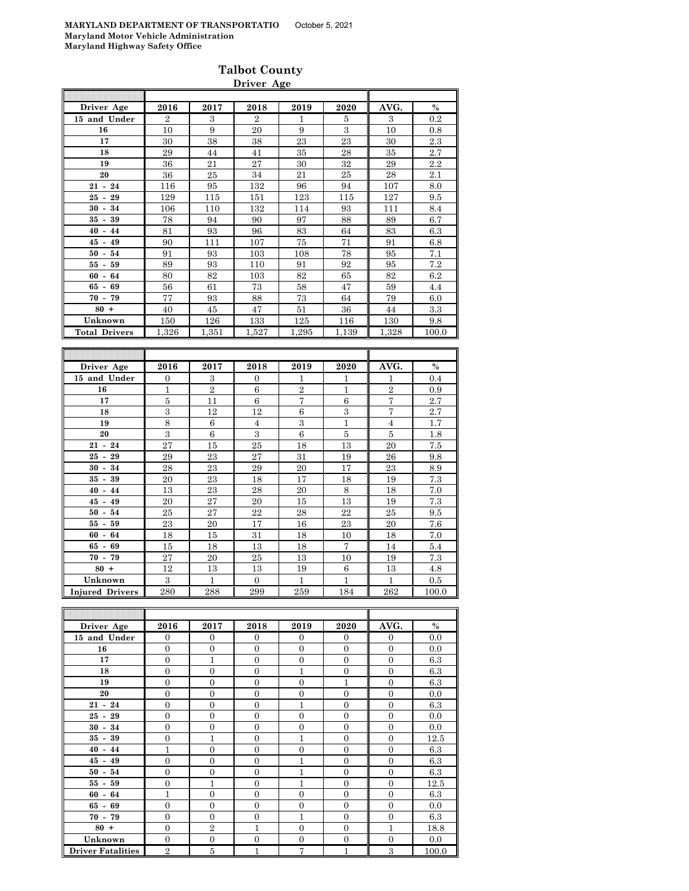|                      |                  |                | Driver Age       |                   |              |                   |         |
|----------------------|------------------|----------------|------------------|-------------------|--------------|-------------------|---------|
| Driver Age           | 2016             | 2017           | 2018             | 2019              | 2020         | AVG.              | $\%$    |
| 15 and Under         | $\overline{2}$   | 3              | $\overline{2}$   | $\mathbf{1}$      | 5            | 3                 | 0.2     |
| 16                   | 10               | 9              | 20               | 9                 | $\,3$        | 10                | 0.8     |
| 17                   | 30               | 38             | 38               | 23                | 23           | 30                | 2.3     |
| 18                   | 29               | 44             | 41               | 35                | 28           | 35                | 2.7     |
| 19                   | 36               | 21             | 27               | 30                | 32           | 29                | 2.2     |
| 20                   | 36               | 25             | 34               | 21                | 25           | 28                | 2.1     |
| $21 - 24$            | 116              | 95             | 132              | 96                | 94           | 107               | 8.0     |
| $25 - 29$            | 129              | 115            | 151              | 123               | 115          | 127               | 9.5     |
| $30 - 34$            | 106              | 110            | 132              | 114               | 93           | 111               | 8.4     |
| $35 - 39$            | 78               | 94             | 90               | 97                | 88           | 89                | 6.7     |
| 44<br>$40 -$         | 81               | 93             | 96               | 83                | 64           | 83                | 6.3     |
| $45 - 49$            | 90               | 111            | 107              | 75                | 71           | 91                | 6.8     |
| $50 - 54$            | 91               | 93             | 103              | 108               | 78           | 95                | 7.1     |
| $55 - 59$            | 89               | 93             | 110              | 91                | 92           | 95                | 7.2     |
| $60 -$<br>64         | 80               | 82             | 103              | 82                | 65           | 82                | 6.2     |
| 69<br>65 -           | 56               | 61             | 73               | 58                | 47           | 59                | 4.4     |
| $70 - 79$            | 77               | 93             | 88               | 73                | 64           | 79                | 6.0     |
| $80 +$               | 40               | 45             | 47               | 51                | 36           | 44                | 3.3     |
| Unknown              | 150              | 126            | 133              | 125               | 116          | 130               | 9.8     |
| <b>Total Drivers</b> | 1,326            | 1,351          | 1,527            | 1,295             | 1,139        | 1,328             | 100.0   |
|                      |                  |                |                  |                   |              |                   |         |
| Driver Age           | 2016             | 2017           | 2018             | 2019              | 2020         | AVG.              | $\%$    |
| 15 and Under         | $\boldsymbol{0}$ | 3              | $\boldsymbol{0}$ | 1                 | 1            | 1                 | 0.4     |
| 16                   | $\mathbf{1}$     | $\overline{2}$ | $\overline{6}$   | $\overline{2}$    | $\,1$        | $\overline{2}$    | 0.9     |
| 17                   | $\overline{5}$   | 11             | 6                | $\scriptstyle{7}$ | 6            | $\scriptstyle{7}$ | 2.7     |
| 18                   | 3                | 12             | 12               | 6                 | 3            | 7                 | 2.7     |
| 19                   | $\overline{8}$   | 6              | $\overline{4}$   | $\,3$             | $\,1\,$      | $\overline{4}$    | 1.7     |
| 20                   | $\boldsymbol{3}$ | 6              | $\,3$            | 6                 | $\bf 5$      | 5                 | 1.8     |
| $21 - 24$            | 27               | 15             | 25               | 18                | 13           | 20                | 7.5     |
| $25 - 29$            | 29               | 23             | 27               | 31                | 19           | 26                | 9.8     |
| $30 - 34$            | 28               | 23             | 29               | 20                | 17           | 23                | 8.9     |
| 39<br>$35$ -         | 20               | 23             | 18               | 17                | 18           | 19                | 7.3     |
| $40 - 44$            | 13               | 23             | 28               | 20                | 8            | 18                | 7.0     |
| $45 - 49$            | 20               | 27             | 20               | 15                | 13           | 19                | $7.3\,$ |
| 54<br>50<br>$\sim$   | 25               | 27             | 22               | 28                | 22           | 25                | 9.5     |
| $55 - 59$            | 23               | 20             | $17\,$           | 16                | $\bf 23$     | $20\,$            | $7.6\,$ |
| 64<br>$60 -$         | 18               | 15             | 31               | 18                | 10           | 18                | 7.0     |
| 65 -<br>69           | 15               | 18             | 13               | 18                | 7            | 14                | 5.4     |
| $70 - 79$            | 27               | $20\,$         | $25\,$           | 13                | 10           | 19                | $7.3\,$ |
| $80 +$               | 12               | 13             |                  |                   | 6            | 13                | 4.8     |
|                      |                  |                | 13               | 19                |              |                   |         |
| Unknown              | $\overline{3}$   | $\,1\,$        | $\boldsymbol{0}$ | $\,1\,$           | $\mathbf{1}$ | $\,1\,$           | 0.5     |

| Driver Age               | 2016           | 2017           | 2018           | 2019           | 2020           | AVG.           | $\%$  |
|--------------------------|----------------|----------------|----------------|----------------|----------------|----------------|-------|
| 15 and Under             | $\mathbf{0}$   | $\overline{0}$ | $\theta$       | $\Omega$       | $\theta$       | $\overline{0}$ | 0.0   |
| 16                       | $\mathbf{0}$   | $\overline{0}$ | $\Omega$       | $\Omega$       | $\mathbf{0}$   | $\Omega$       | 0.0   |
| 17                       | $\mathbf{0}$   | $\mathbf{1}$   | $\Omega$       | $\Omega$       | $\overline{0}$ | $\overline{0}$ | 6.3   |
| 18                       | $\Omega$       | $\overline{0}$ | $\Omega$       | 1              | $\overline{0}$ | $\Omega$       | 6.3   |
| 19                       | $\mathbf{0}$   | $\overline{0}$ | $\Omega$       | $\Omega$       | 1              | $\Omega$       | 6.3   |
| 20                       | $\mathbf{0}$   | $\overline{0}$ | $\mathbf{0}$   | $\Omega$       | $\mathbf{0}$   | $\overline{0}$ | 0.0   |
| $21 - 24$                | $\Omega$       | $\overline{0}$ | $\Omega$       | $\mathbf{1}$   | $\overline{0}$ | $\overline{0}$ | 6.3   |
| $25 - 29$                | $\overline{0}$ | $\overline{0}$ | $\Omega$       | $\Omega$       | $\overline{0}$ | $\overline{0}$ | 0.0   |
| $30 - 34$                | $\overline{0}$ | $\overline{0}$ | $\Omega$       | $\Omega$       | $\overline{0}$ | $\theta$       | 0.0   |
| $35 - 39$                | $\Omega$       | 1              | $\Omega$       | $\mathbf{1}$   | $\overline{0}$ | $\overline{0}$ | 12.5  |
| $40 - 44$                | 1              | $\overline{0}$ | $\Omega$       | $\Omega$       | $\mathbf{0}$   | $\Omega$       | 6.3   |
| $45 - 49$                | $\overline{0}$ | $\overline{0}$ | $\overline{0}$ | $\mathbf{1}$   | $\overline{0}$ | $\overline{0}$ | 6.3   |
| $50 - 54$                | $\mathbf{0}$   | $\overline{0}$ | $\mathbf{0}$   | 1              | $\mathbf{0}$   | $\overline{0}$ | 6.3   |
| $55 - 59$                | $\Omega$       | $\mathbf{1}$   | $\Omega$       | 1              | $\overline{0}$ | $\overline{0}$ | 12.5  |
| $60 - 64$                | $\mathbf{1}$   | $\overline{0}$ | $\Omega$       | $\Omega$       | $\Omega$       | $\theta$       | 6.3   |
| $65 - 69$                | $\overline{0}$ | $\overline{0}$ | $\Omega$       | $\Omega$       | $\overline{0}$ | $\theta$       | 0.0   |
| $70 - 79$                | $\overline{0}$ | $\overline{0}$ | $\Omega$       | 1              | $\overline{0}$ | $\overline{0}$ | 6.3   |
| $80 +$                   | $\Omega$       | $\overline{2}$ | $\mathbf{1}$   | $\Omega$       | $\overline{0}$ | $\mathbf{1}$   | 18.8  |
| Unknown                  | $\mathbf{0}$   | $\overline{0}$ | $\overline{0}$ | $\overline{0}$ | $\theta$       | $\overline{0}$ | 0.0   |
| <b>Driver Fatalities</b> | $\overline{2}$ | $\bf 5$        | 1              | 7              | 1              | 3              | 100.0 |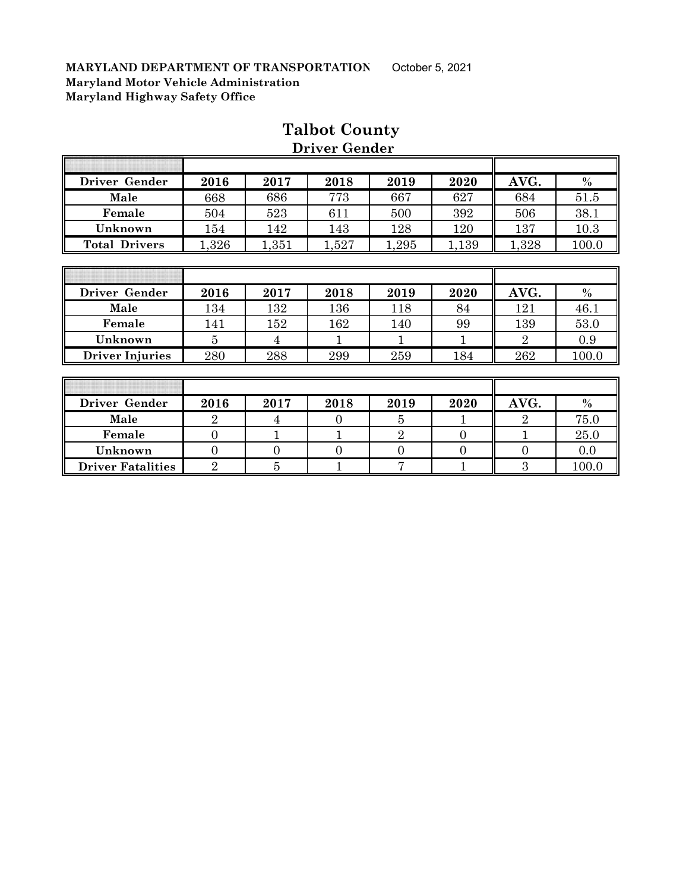Ī

| Driver Gender          | 2016           | 2017  | 2018  | 2019  | 2020  | AVG.           | $\%$          |
|------------------------|----------------|-------|-------|-------|-------|----------------|---------------|
| Male                   | 668            | 686   | 773   | 667   | 627   | 684            | 51.5          |
| Female                 | 504            | 523   | 611   | 500   | 392   | 506            | 38.1          |
| Unknown                | 154            | 142   | 143   | 128   | 120   | 137            | 10.3          |
| <b>Total Drivers</b>   | 1,326          | 1,351 | 1,527 | 1,295 | 1,139 | 1,328          | 100.0         |
|                        |                |       |       |       |       |                |               |
|                        |                |       |       |       |       |                |               |
| Driver Gender          | 2016           | 2017  | 2018  | 2019  | 2020  | AVG.           | $\frac{0}{0}$ |
| Male                   | 134            | 132   | 136   | 118   | 84    | 121            | 46.1          |
| Female                 | 141            | 152   | 162   | 140   | 99    | 139            | 53.0          |
| Unknown                | $\overline{5}$ | 4     |       |       | 1     | $\overline{2}$ | 0.9           |
|                        |                |       |       |       |       |                |               |
| <b>Driver Injuries</b> | 280            | 288   | 299   | 259   | 184   | 262            | 100.0         |
|                        |                |       |       |       |       |                |               |

### **Talbot County Driver Gender**

╗

T

| Driver Gender            | 2016 | 2017 | 2018 | 2019 | 2020 | AVG. | $\%$  |
|--------------------------|------|------|------|------|------|------|-------|
| Male                     |      |      |      |      |      |      | 75.0  |
| Female                   |      |      |      |      |      |      | 25.0  |
| Unknown                  |      |      |      |      |      |      | 0.0   |
| <b>Driver Fatalities</b> |      |      |      |      |      |      | 100.0 |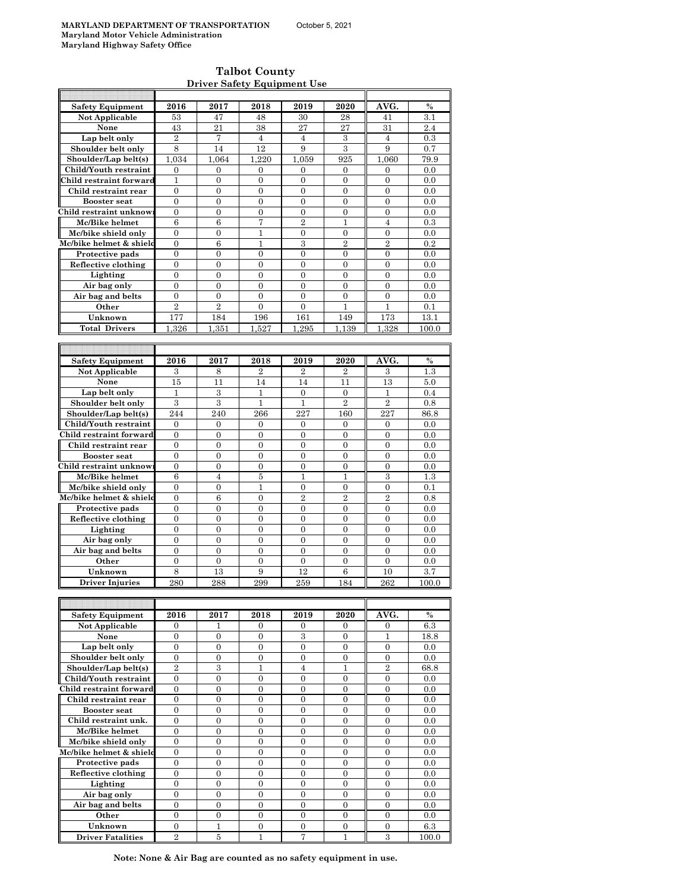$\overline{\phantom{a}}$ 

#### **Talbot County Driver Safety Equipment Use**

| <b>Safety Equipment</b>  | 2016                        | 2017             | 2018             | 2019             | 2020             | AVG.             | $\%$    |
|--------------------------|-----------------------------|------------------|------------------|------------------|------------------|------------------|---------|
| <b>Not Applicable</b>    | 53                          | 47               | 48               | 30               | 28               | 41               | 3.1     |
| None                     | 43                          | 21               | 38               | 27               | 27               | 31               | 2.4     |
|                          |                             |                  |                  |                  |                  |                  |         |
| Lap belt only            | $\overline{2}$              | 7                | $\overline{4}$   | $\overline{4}$   | $\,3$            | $\overline{4}$   | 0.3     |
| Shoulder belt only       | 8                           | 14               | 12               | 9                | 3                | 9                | 0.7     |
| Shoulder/Lap belt(s)     | 1,034                       | 1.064            | 1,220            | 1.059            | 925              | 1,060            | 79.9    |
| Child/Youth restraint    | $\mathbf{0}$                | $\mathbf{0}$     | 0                | $\mathbf{0}$     | $\mathbf{0}$     | $\mathbf{0}$     | 0.0     |
| Child restraint forward  | $\mathbf{1}$                | $\theta$         | $\overline{0}$   | $\overline{0}$   | $\overline{0}$   | $\overline{0}$   | 0.0     |
|                          |                             |                  |                  |                  |                  |                  |         |
| Child restraint rear     | $\boldsymbol{0}$            | $\boldsymbol{0}$ | 0                | 0                | $\mathbf{0}$     | 0                | 0.0     |
| <b>Booster seat</b>      | $\overline{0}$              | $\overline{0}$   | $\overline{0}$   | $\overline{0}$   | $\overline{0}$   | $\overline{0}$   | 0.0     |
| Child restraint unknow:  | $\mathbf{0}$                | 0                | 0                | 0                | $\mathbf{0}$     | $\overline{0}$   | 0.0     |
| Mc/Bike helmet           | 6                           | 6                | 7                | $\overline{2}$   | $\mathbf{1}$     | $\overline{4}$   | 0.3     |
| Mc/bike shield only      | $\overline{0}$              | 0                | 1                | 0                | $\boldsymbol{0}$ | $\boldsymbol{0}$ | 0.0     |
| Mc/bike helmet & shield  |                             | 6                |                  | 3                | $\overline{2}$   | $\overline{2}$   |         |
|                          | $\boldsymbol{0}$            |                  | 1                |                  |                  |                  | 0.2     |
| Protective pads          | $\mathbf{0}$                | $\mathbf{0}$     | $\mathbf{0}$     | $\mathbf{0}$     | $\overline{0}$   | $\overline{0}$   | 0.0     |
| Reflective clothing      | $\boldsymbol{0}$            | $\boldsymbol{0}$ | 0                | 0                | $\overline{0}$   | $\boldsymbol{0}$ | 0.0     |
| Lighting                 | $\mathbf{0}$                | $\mathbf{0}$     | $\overline{0}$   | $\mathbf{0}$     | $\mathbf{0}$     | $\overline{0}$   | 0.0     |
| Air bag only             | $\mathbf{0}$                | $\overline{0}$   | $\overline{0}$   | 0                | $\boldsymbol{0}$ | $\boldsymbol{0}$ | 0.0     |
| Air bag and belts        | $\mathbf{0}$                | $\overline{0}$   | $\mathbf{0}$     | $\overline{0}$   | $\overline{0}$   | $\overline{0}$   | 0.0     |
|                          |                             |                  |                  |                  |                  |                  |         |
| Other                    | $\overline{2}$              | $\overline{2}$   | $\mathbf{0}$     | $\overline{0}$   | 1                | $\mathbf{1}$     | 0.1     |
| Unknown                  | 177                         | 184              | 196              | 161              | 149              | 173              | 13.1    |
| <b>Total Drivers</b>     | 1.326                       | 1.351            | 1.527            | 1.295            | 1.139            | 1.328            | 100.0   |
|                          |                             |                  |                  |                  |                  |                  |         |
|                          |                             |                  |                  |                  |                  |                  |         |
|                          |                             |                  |                  |                  |                  |                  |         |
| Safety Equipment         | 2016                        | 2017             | 2018             | 2019             | 2020             | AVG.             | $\%$    |
| Not Applicable           | 3                           | 8                | 2                | $\overline{2}$   | 2                | 3                | $1.3\,$ |
| None                     | 15                          | 11               | 14               | 14               | 11               | 13               | 5.0     |
| Lap belt only            | 1                           | 3                | 1                | $\overline{0}$   | $\mathbf{0}$     | 1                | 0.4     |
|                          |                             |                  |                  |                  | $\overline{2}$   | $\overline{2}$   |         |
| Shoulder belt only       | 3                           | 3                | 1                | 1                |                  |                  | 0.8     |
| Shoulder/Lap belt(s)     | 244                         | 240              | 266              | 227              | 160              | 227              | 86.8    |
| Child/Youth restraint    | $\mathbf{0}$                | $\mathbf{0}$     | $\mathbf{0}$     | 0                | $\mathbf{0}$     | $\overline{0}$   | 0.0     |
| Child restraint forward  | $\mathbf{0}$                | $\mathbf{0}$     | $\mathbf{0}$     | $\mathbf{0}$     | $\overline{0}$   | $\boldsymbol{0}$ | 0.0     |
| Child restraint rear     | $\mathbf{0}$                | $\overline{0}$   | $\overline{0}$   | $\overline{0}$   | $\overline{0}$   | $\overline{0}$   | 0.0     |
|                          |                             |                  |                  |                  |                  |                  |         |
| <b>Booster</b> seat      | $\mathbf{0}$                | 0                | $\boldsymbol{0}$ | 0                | 0                | $\boldsymbol{0}$ | 0.0     |
| Child restraint unknow   | 0                           | $\overline{0}$   | $\mathbf{0}$     | 0                | $\boldsymbol{0}$ | $\boldsymbol{0}$ | 0.0     |
| Mc/Bike helmet           | 6                           | $\overline{4}$   | 5                | $\mathbf{1}$     | 1                | 3                | 1.3     |
| Mc/bike shield only      | $\boldsymbol{0}$            | $\boldsymbol{0}$ | $\mathbf{1}$     | 0                | $\boldsymbol{0}$ | $\boldsymbol{0}$ | 0.1     |
| Mc/bike helmet & shield  | $\mathbf{0}$                | 6                | $\mathbf{0}$     | $\overline{2}$   | $\overline{2}$   | $\overline{2}$   | 0.8     |
|                          |                             |                  |                  |                  |                  |                  |         |
| Protective pads          | $\boldsymbol{0}$            | 0                | $\boldsymbol{0}$ | 0                | $\boldsymbol{0}$ | $\boldsymbol{0}$ | 0.0     |
| Reflective clothing      | $\mathbf{0}$                | $\overline{0}$   | $\overline{0}$   | $\overline{0}$   | $\overline{0}$   | $\overline{0}$   | 0.0     |
| Lighting                 | $\mathbf{0}$                | $\mathbf{0}$     | $\overline{0}$   | $\overline{0}$   | $\overline{0}$   | $\overline{0}$   | 0.0     |
| Air bag only             | $\overline{0}$              | $\overline{0}$   | $\overline{0}$   | $\overline{0}$   | $\overline{0}$   | $\overline{0}$   | 0.0     |
| Air bag and belts        | $\boldsymbol{0}$            | $\boldsymbol{0}$ | $\overline{0}$   | $\boldsymbol{0}$ | $\overline{0}$   | $\boldsymbol{0}$ | 0.0     |
|                          |                             |                  |                  |                  |                  |                  |         |
| Other                    | 0                           | 0                | 0                | 0                | 0                | 0                | 0.0     |
| Unknown                  | 8                           | 13               | 9                | 12               | 6                | 10               | 3.7     |
| <b>Driver Injuries</b>   | 280                         | 288              | 299              | 259              | 184              | 262              | 100.0   |
|                          |                             |                  |                  |                  |                  |                  |         |
|                          |                             |                  |                  |                  |                  |                  |         |
|                          |                             |                  |                  |                  |                  |                  |         |
| <b>Safety Equipment</b>  | 2016                        | 2017             | 2018             | 2019             | 2020             | AVG.             | %       |
| Not Applicable           | 0                           | L                | 0                | 0                | 0                | $\mathbf{0}$     | 6.3     |
| None                     | $\boldsymbol{0}$            | $\boldsymbol{0}$ | 0                | 3                | $\mathbf{0}$     | 1                | 18.8    |
| Lap belt only            | $\overline{0}$              | $\overline{0}$   | $\overline{0}$   | $\overline{0}$   | $\overline{0}$   | $\boldsymbol{0}$ | 0.0     |
| Shoulder belt only       | $\boldsymbol{0}$            | 0                | $\boldsymbol{0}$ | $\boldsymbol{0}$ | $\boldsymbol{0}$ | $\boldsymbol{0}$ | 0.0     |
|                          |                             |                  |                  |                  |                  |                  |         |
| Shoulder/Lap belt(s)     | $\overline{2}$              | $\boldsymbol{3}$ | $\mathbf{1}$     | $\overline{4}$   | $\mathbf{1}$     | $\overline{2}$   | 68.8    |
| Child/Youth restraint    | 0                           | 0                | $\boldsymbol{0}$ | $\boldsymbol{0}$ | $\boldsymbol{0}$ | $\boldsymbol{0}$ | 0.0     |
| Child restraint forward  | $\boldsymbol{0}$            | 0                | $\boldsymbol{0}$ | 0                | $\boldsymbol{0}$ | $\boldsymbol{0}$ | 0.0     |
| Child restraint rear     | $\boldsymbol{0}$            | $\boldsymbol{0}$ | $\boldsymbol{0}$ | $\boldsymbol{0}$ | $\boldsymbol{0}$ | $\boldsymbol{0}$ | 0.0     |
| Booster seat             | $\boldsymbol{0}$            | $\boldsymbol{0}$ | $\boldsymbol{0}$ | $\boldsymbol{0}$ | $\boldsymbol{0}$ | $\boldsymbol{0}$ | 0.0     |
|                          |                             |                  |                  |                  |                  |                  |         |
| Child restraint unk.     | $\mathbf{0}$                | $\boldsymbol{0}$ | $\boldsymbol{0}$ | $\boldsymbol{0}$ | $\mathbf{0}$     | $\boldsymbol{0}$ | 0.0     |
| Mc/Bike helmet           | $\boldsymbol{0}$            | 0                | $\boldsymbol{0}$ | $\boldsymbol{0}$ | $\boldsymbol{0}$ | $\boldsymbol{0}$ | 0.0     |
| Mc/bike shield only      | $\mathbf{0}$                | $\overline{0}$   | $\mathbf{0}$     | $\mathbf{0}$     | $\mathbf{0}$     | $\overline{0}$   | 0.0     |
| Mc/bike helmet & shield  | $\mathbf{0}$                | $\mathbf{0}$     | $\mathbf{0}$     | $\overline{0}$   | $\overline{0}$   | $\overline{0}$   | 0.0     |
| Protective pads          | $\boldsymbol{0}$            | $\overline{0}$   | $\boldsymbol{0}$ | $\boldsymbol{0}$ | $\overline{0}$   | $\overline{0}$   | 0.0     |
|                          |                             |                  |                  |                  |                  |                  |         |
| Reflective clothing      | $\boldsymbol{0}$            | $\boldsymbol{0}$ | $\boldsymbol{0}$ | $\boldsymbol{0}$ | $\boldsymbol{0}$ | $\boldsymbol{0}$ | 0.0     |
| Lighting                 | $\boldsymbol{0}$            | 0                | 0                | 0                | $\mathbf{0}$     | 0                | 0.0     |
| Air bag only             | $\overline{0}$              | $\overline{0}$   | $\overline{0}$   | $\overline{0}$   | $\overline{0}$   | $\overline{0}$   | 0.0     |
| Air bag and belts        | $\boldsymbol{0}$            | $\boldsymbol{0}$ | $\boldsymbol{0}$ | 0                | $\mathbf{0}$     | 0                | 0.0     |
| Other                    | $\mathbf{0}$                | $\overline{0}$   | $\boldsymbol{0}$ | $\boldsymbol{0}$ | $\boldsymbol{0}$ | $\boldsymbol{0}$ | 0.0     |
|                          |                             |                  |                  |                  |                  |                  |         |
| Unknown                  | $\boldsymbol{0}$            | 1                | $\boldsymbol{0}$ | $\boldsymbol{0}$ | $\boldsymbol{0}$ | 0                | $6.3\,$ |
| <b>Driver Fatalities</b> | $\mathcal{D}_{\mathcal{L}}$ | 5                | 1                | 7                | 1                | 3                | 100.0   |

**Note: None & Air Bag are counted as no safety equipment in use.**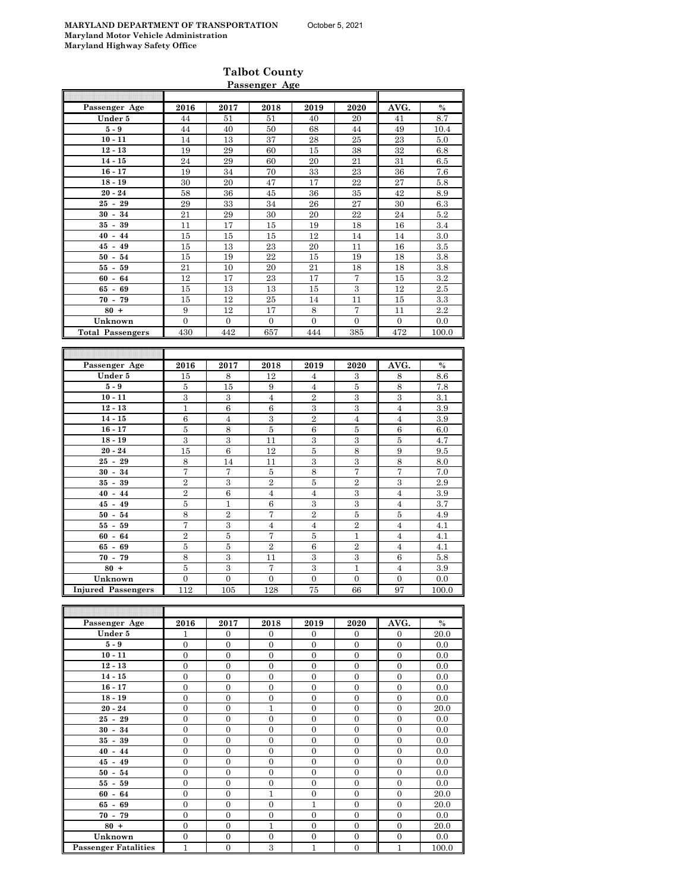#### **Talbot County Passenger Age**

| Passenger Age             | 2016           | 2017           | 2018           | 2019             | 2020           | AVG.             | $\%$    |
|---------------------------|----------------|----------------|----------------|------------------|----------------|------------------|---------|
| Under 5                   | 44             | 51             | 51             | 40               | 20             | 41               | 8.7     |
| $5-9$                     | 44             | 40             | 50             | 68               | 44             | 49               | 10.4    |
| $10 - 11$                 | 14             | 13             | 37             | 28               | 25             | 23               | 5.0     |
| $12 - 13$                 | 19             | 29             | 60             | 15               | 38             | 32               | 6.8     |
| $14 - 15$                 | 24             | 29             | 60             | 20               | 21             | 31               | 6.5     |
| $16 - 17$                 | 19             | 34             | 70             | 33               | 23             | 36               | 7.6     |
| $18 - 19$                 | 30             | 20             | 47             | 17               | 22             | 27               | 5.8     |
| $20 - 24$                 | 58             | 36             | 45             | 36               | 35             | 42               | 8.9     |
| $25 - 29$                 | 29             | 33             | 34             | 26               | 27             | 30               | 6.3     |
| $30 - 34$                 | 21             | 29             | 30             | 20               | 22             | 24               | $5.2\,$ |
| $35 - 39$                 | 11             | 17             | 15             | 19               | 18             | 16               | 3.4     |
| $40 - 44$                 | 15             | 15             | 15             | 12               | 14             | 14               | 3.0     |
| $45 - 49$                 | 15             | 13             | 23             | 20               | 11             | 16               | 3.5     |
| $50 - 54$                 | 15             | 19             | 22             | 15               | 19             | 18               | 3.8     |
| $55 - 59$                 | 21             | 10             | 20             | 21               | 18             | 18               | 3.8     |
| $60 - 64$                 | 12             | 17             | 23             | 17               | 7              | 15               | 3.2     |
| $65 - 69$                 | 15             | 13             | 13             | 15               | $\overline{3}$ | 12               | $2.5\,$ |
| $70 -$<br>79              | 15             | 12             | 25             | 14               | 11             | 15               | 3.3     |
| $80 +$                    | 9              | 12             | 17             | 8                | 7              | 11               | 2.2     |
| Unknown                   | $\Omega$       | $\Omega$       | $\Omega$       | $\Omega$         | $\Omega$       | $\Omega$         | 0.0     |
| <b>Total Passengers</b>   | 430            | 442            | 657            | 444              | 385            | 472              | 100.0   |
|                           |                |                |                |                  |                |                  |         |
|                           |                |                |                |                  |                |                  |         |
| Passenger Age             | 2016           | 2017           | 2018           | 2019             | 2020           | AVG.             | $\%$    |
| Under 5                   | 15             | 8              | 12             | 4                | 3              | 8                | 8.6     |
| $5-9$                     | 5              | 15             | 9              | $\overline{4}$   | 5              | 8                | 7.8     |
| $10 - 11$                 | 3              | 3              | $\overline{4}$ | $\overline{2}$   | 3              | 3                | 3.1     |
| $12 - 13$                 | $\mathbf{1}$   | 6              | 6              | 3                | 3              | $\overline{4}$   | 3.9     |
| $14 - 15$                 | 6              | 4              | 3              | $\overline{2}$   | $\overline{4}$ | $\overline{4}$   | 3.9     |
| $16 - 17$                 | $\bf 5$        | 8              | $\bf 5$        | 6                | $\bf 5$        | $\,6$            | 6.0     |
| $18 - 19$                 | 3              | 3              | 11             | 3                | 3              | 5                | 4.7     |
| $20 - 24$                 | 15             | 6              | 12             | 5                | 8              | 9                | 9.5     |
| $25 - 29$                 | 8              | 14             | 11             | 3                | 3              | 8                | 8.0     |
| $30 - 34$                 | 7              | $\overline{7}$ | $\bf 5$        | 8                | 7              | 7                | 7.0     |
| $35 - 39$                 | $\overline{2}$ | 3              | $\overline{2}$ | 5                | $\overline{2}$ | 3                | $2.9\,$ |
| $40 - 44$                 | $\overline{2}$ | 6              | $\overline{4}$ | $\overline{4}$   | 3              | $\overline{4}$   | 3.9     |
| $45 - 49$                 | 5              | $\mathbf{1}$   | 6              | 3                | 3              | $\overline{4}$   | 3.7     |
| $50 - 54$                 | 8              | $\overline{2}$ | 7              | 2                | 5              | 5                | 4.9     |
| $55 - 59$                 | 7              | 3              | $\overline{4}$ | $\overline{4}$   | $\overline{2}$ | $\overline{4}$   | 4.1     |
| $60 - 64$                 | $\overline{2}$ | 5              | 7              | 5                | $\mathbf{1}$   | $\overline{4}$   | 4.1     |
| $65 - 69$                 | $\bf 5$        | 5              | $\overline{2}$ | 6                | $\overline{2}$ | $\overline{4}$   | 4.1     |
| $70 - 79$                 | 8              | 3              | 11             | $\,3$            | 3              | $\,6$            | $5.8\,$ |
| $80 +$                    | 5              | 3              | 7              | 3                | $\mathbf{1}$   | $\overline{4}$   | 3.9     |
| Unknown                   | $\overline{0}$ | $\overline{0}$ | $\overline{0}$ | $\boldsymbol{0}$ | $\overline{0}$ | $\boldsymbol{0}$ | 0.0     |
| <b>Injured Passengers</b> | 112            | 105            | 128            | 75               | 66             | 97               | 100.0   |
|                           |                |                |                |                  |                |                  |         |
|                           |                |                |                |                  |                |                  |         |
| Passenger Age             | 2016           | 2017           | 2018           | 2019             | 2020           | AVG.             | $\%$    |
| $I_{\text{badon}}$        | 1              | $\Omega$       | $\Omega$       | $\Omega$         | $\Omega$       | $\Omega$         | 900     |

| Passenger Age               | 2016           | 2017             | 2018             | 2019             | 2020             | AVG.           | $\%$  |
|-----------------------------|----------------|------------------|------------------|------------------|------------------|----------------|-------|
| Under 5                     | 1              | $\Omega$         | $\Omega$         | $\mathbf{0}$     | $\Omega$         | $\Omega$       | 20.0  |
| $5-9$                       | $\overline{0}$ | $\mathbf{0}$     | $\mathbf{0}$     | $\mathbf{0}$     | $\mathbf{0}$     | $\mathbf{0}$   | 0.0   |
| $10 - 11$                   | $\Omega$       | $\Omega$         | $\mathbf{0}$     | $\overline{0}$   | $\overline{0}$   | $\overline{0}$ | 0.0   |
| $12 - 13$                   | $\mathbf{0}$   | $\mathbf{0}$     | $\mathbf{0}$     | $\mathbf{0}$     | $\mathbf{0}$     | $\mathbf{0}$   | 0.0   |
| $14 - 15$                   | $\mathbf{0}$   | $\mathbf{0}$     | $\mathbf{0}$     | $\mathbf{0}$     | $\overline{0}$   | $\mathbf{0}$   | 0.0   |
| $16 - 17$                   | $\overline{0}$ | $\mathbf{0}$     | $\overline{0}$   | $\mathbf{0}$     | $\overline{0}$   | $\mathbf{0}$   | 0.0   |
| $18 - 19$                   | $\overline{0}$ | $\mathbf{0}$     | $\overline{0}$   | $\mathbf{0}$     | $\mathbf{0}$     | $\mathbf{0}$   | 0.0   |
| $20 - 24$                   | $\overline{0}$ | $\mathbf{0}$     | 1                | $\mathbf{0}$     | $\overline{0}$   | $\mathbf{0}$   | 20.0  |
| $25 - 29$                   | $\mathbf{0}$   | $\mathbf{0}$     | $\overline{0}$   | $\mathbf{0}$     | $\overline{0}$   | $\mathbf{0}$   | 0.0   |
| $30 - 34$                   | $\mathbf{0}$   | $\mathbf{0}$     | $\mathbf{0}$     | $\mathbf{0}$     | $\overline{0}$   | $\overline{0}$ | 0.0   |
| $35 - 39$                   | $\mathbf{0}$   | $\mathbf{0}$     | $\mathbf{0}$     | $\mathbf{0}$     | $\overline{0}$   | $\Omega$       | 0.0   |
| $40 - 44$                   | $\mathbf{0}$   | $\mathbf{0}$     | $\mathbf{0}$     | $\mathbf{0}$     | $\mathbf{0}$     | $\mathbf{0}$   | 0.0   |
| $45 - 49$                   | $\overline{0}$ | $\mathbf{0}$     | $\overline{0}$   | $\mathbf{0}$     | $\overline{0}$   | $\overline{0}$ | 0.0   |
| $50 - 54$                   | $\mathbf{0}$   | $\mathbf{0}$     | $\mathbf{0}$     | $\mathbf{0}$     | $\mathbf{0}$     | $\mathbf{0}$   | 0.0   |
| $55 - 59$                   | $\mathbf{0}$   | $\mathbf{0}$     | $\mathbf{0}$     | $\mathbf{0}$     | $\overline{0}$   | $\mathbf{0}$   | 0.0   |
| $60 - 64$                   | $\overline{0}$ | $\mathbf{0}$     | $\mathbf{1}$     | $\mathbf{0}$     | $\overline{0}$   | $\mathbf{0}$   | 20.0  |
| $65 - 69$                   | $\mathbf{0}$   | $\mathbf{0}$     | $\overline{0}$   | 1                | $\overline{0}$   | $\overline{0}$ | 20.0  |
| $70 - 79$                   | $\overline{0}$ | $\mathbf{0}$     | $\overline{0}$   | $\mathbf{0}$     | $\overline{0}$   | $\overline{0}$ | 0.0   |
| $80 +$                      | $\mathbf{0}$   | $\mathbf{0}$     | $\mathbf{1}$     | $\mathbf{0}$     | $\overline{0}$   | $\mathbf{0}$   | 20.0  |
| Unknown                     | $\mathbf{0}$   | $\mathbf{0}$     | $\boldsymbol{0}$ | $\boldsymbol{0}$ | $\boldsymbol{0}$ | $\mathbf{0}$   | 0.0   |
| <b>Passenger Fatalities</b> | $\mathbf{1}$   | $\boldsymbol{0}$ | 3                | $\mathbf{1}$     | $\overline{0}$   | $\mathbf{1}$   | 100.0 |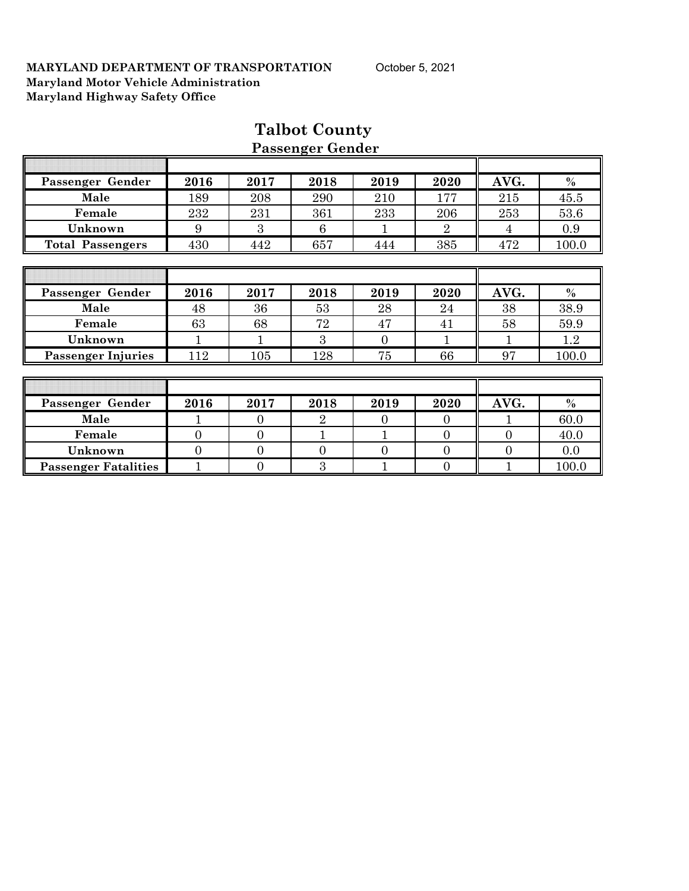|                             |                |                | r assenger ochaer |                |                |                |         |
|-----------------------------|----------------|----------------|-------------------|----------------|----------------|----------------|---------|
|                             |                |                |                   |                |                |                |         |
| Passenger Gender            | 2016           | 2017           | 2018              | 2019           | 2020           | AVG.           | $\%$    |
| Male                        | 189            | 208            | 290               | 210            | 177            | 215            | 45.5    |
| Female                      | 232            | 231            | 361               | 233            | 206            | 253            | 53.6    |
| Unknown                     | 9              | 3              | 6                 | 1              | $\overline{2}$ | 4              | 0.9     |
| <b>Total Passengers</b>     | 430            | 442            | 657               | 444            | 385            | 472            | 100.0   |
|                             |                |                |                   |                |                |                |         |
|                             |                |                |                   |                |                |                |         |
| Passenger Gender            | 2016           | 2017           | 2018              | 2019           | 2020           | AVG.           | $\%$    |
| Male                        | 48             | 36             | 53                | 28             | 24             | 38             | 38.9    |
| Female                      | 63             | 68             | 72                | 47             | 41             | 58             | 59.9    |
| Unknown                     |                |                | 3                 | $\overline{0}$ |                |                | $1.2\,$ |
| <b>Passenger Injuries</b>   | 112            | 105            | 128               | 75             | 66             | 97             | 100.0   |
|                             |                |                |                   |                |                |                |         |
|                             |                |                |                   |                |                |                |         |
| Passenger Gender            | 2016           | 2017           | 2018              | 2019           | 2020           | AVG.           | $\%$    |
| Male                        |                | $\overline{0}$ | $\overline{2}$    | $\Omega$       | $\overline{0}$ |                | 60.0    |
| Female                      | $\mathbf{0}$   | $\theta$       |                   |                | $\theta$       | $\overline{0}$ | 40.0    |
| Unknown                     | $\overline{0}$ | $\mathbf{0}$   | $\overline{0}$    | $\overline{0}$ | $\overline{0}$ | $\overline{0}$ | 0.0     |
| <b>Passenger Fatalities</b> |                | $\overline{0}$ | 3                 |                | $\mathbf{0}$   |                | 100.0   |

### **Talbot County Passenger Gender**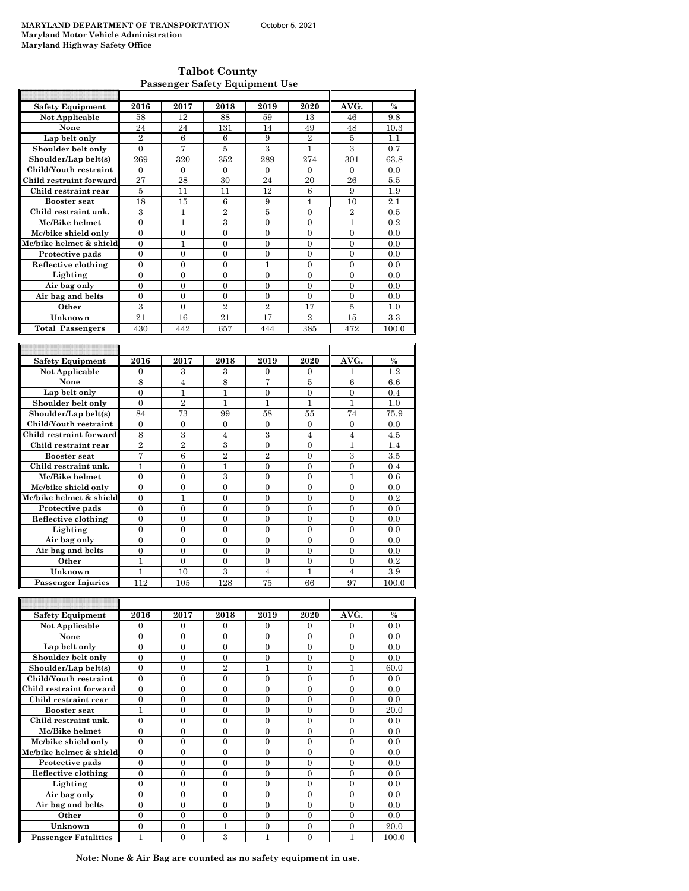F

**Talbot County Passenger Safety Equipment Use**

| <b>Safety Equipment</b> | 2016           | 2017     | 2018           | 2019           | 2020           | AVG.           | $\%$  |
|-------------------------|----------------|----------|----------------|----------------|----------------|----------------|-------|
| Not Applicable          | 58             | 12       | 88             | 59             | 13             | 46             | 9.8   |
| None                    | 24             | 24       | 131            | 14             | 49             | 48             | 10.3  |
| Lap belt only           | $\overline{2}$ | 6        | 6              | 9              | $\overline{2}$ | 5              | 11    |
| Shoulder belt only      | $\Omega$       | 7        | 5              | 3              |                | 3              | 0.7   |
| Shoulder/Lap belt(s)    | 269            | 320      | 352            | 289            | 274            | 301            | 63.8  |
| Child/Youth restraint   | $\Omega$       | $\Omega$ | $\Omega$       | $\Omega$       | $\Omega$       | $\Omega$       | 0.0   |
| Child restraint forward | 27             | 28       | 30             | 24             | 20             | 26             | 5.5   |
| Child restraint rear    | $\overline{5}$ | 11       | 11             | 12             | 6              | 9              | 1.9   |
| <b>Booster seat</b>     | 18             | 15       | 6              | 9              |                | 10             | 2.1   |
| Child restraint unk.    | 3              | 1        | $\overline{2}$ | 5              | $\Omega$       | $\overline{2}$ | 0.5   |
| Mc/Bike helmet          | $\Omega$       | 1        | 3              | $\Omega$       | $\theta$       | 1              | 0.2   |
| Mc/bike shield only     | $\Omega$       | $\Omega$ | $\Omega$       | $\Omega$       | $\theta$       | $\Omega$       | 0.0   |
| Mc/bike helmet & shield | $\Omega$       | 1        | $\Omega$       | $\Omega$       | $\Omega$       | $\Omega$       | 0.0   |
| Protective pads         | $\Omega$       | $\Omega$ | $\Omega$       | $\Omega$       | $\Omega$       | $\Omega$       | 0.0   |
| Reflective clothing     | $\Omega$       | $\Omega$ | $\Omega$       | 1              | $\Omega$       | $\Omega$       | 0.0   |
| Lighting                | $\Omega$       | $\Omega$ | $\Omega$       | $\Omega$       | $\Omega$       | $\Omega$       | 0.0   |
| Air bag only            | $\Omega$       | $\Omega$ | $\Omega$       | $\Omega$       | $\Omega$       | $\Omega$       | 0.0   |
| Air bag and belts       | $\Omega$       | $\Omega$ | $\Omega$       | $\Omega$       | $\Omega$       | $\Omega$       | 0.0   |
| Other                   | 3              | $\Omega$ | $\mathfrak{D}$ | $\overline{2}$ | 17             | 5              | 1.0   |
| Unknown                 | 21             | 16       | 21             | 17             | $\overline{2}$ | 15             | 3.3   |
| <b>Total Passengers</b> | 430            | 442      | 657            | 444            | 385            | 472            | 100.0 |
|                         |                |          |                |                |                |                |       |
|                         |                |          |                |                |                |                |       |

| <b>Safety Equipment</b>   | 2016           | 2017           | 2018           | 2019           | 2020     | AVG.           | $\%$    |
|---------------------------|----------------|----------------|----------------|----------------|----------|----------------|---------|
| Not Applicable            | $\Omega$       | 3              | 3              | $\Omega$       | $\Omega$ |                | $1.2\,$ |
| None                      | 8              | 4              | 8              | 7              | 5        | 6              | 6.6     |
| Lap belt only             | $\Omega$       |                |                | $\Omega$       | $\Omega$ | $\Omega$       | 0.4     |
| Shoulder belt only        | $\Omega$       | $\overline{2}$ | 1              |                |          |                | $1.0\,$ |
| Shoulder/Lap belt(s)      | 84             | 73             | 99             | 58             | 55       | 74             | 75.9    |
| Child/Youth restraint     | $\Omega$       | $\Omega$       | $\Omega$       | $\Omega$       | $\Omega$ | $\theta$       | 0.0     |
| Child restraint forward   | 8              | 3              | 4              | 3              | 4        | 4              | 4.5     |
| Child restraint rear      | $\overline{2}$ | $\overline{2}$ | 3              | $\Omega$       | $\Omega$ |                | $1.4\,$ |
| <b>Booster seat</b>       | 7              | 6              | $\overline{2}$ | $\overline{2}$ | $\Omega$ | 3              | $3.5\,$ |
| Child restraint unk.      | 1              | $\Omega$       | 1              | $\Omega$       | $\Omega$ | $\theta$       | 0.4     |
| Mc/Bike helmet            | $\theta$       | $\Omega$       | 3              | $\Omega$       | $\Omega$ |                | 0.6     |
| Mc/bike shield only       | $\Omega$       | $\Omega$       | $\Omega$       | $\Omega$       | $\Omega$ | $\theta$       | 0.0     |
| Mc/bike helmet & shield   | $\Omega$       | 1              | $\Omega$       | $\Omega$       | $\Omega$ | $\theta$       | 0.2     |
| Protective pads           | $\theta$       | $\Omega$       | $\Omega$       | $\Omega$       | $\Omega$ | $\Omega$       | 0.0     |
| Reflective clothing       | $\Omega$       | $\Omega$       | $\Omega$       | $\Omega$       | $\Omega$ | $\theta$       | 0.0     |
| Lighting                  | $\Omega$       | $\Omega$       | 0              | $\Omega$       | $\Omega$ | $\theta$       | 0.0     |
| Air bag only              | $\theta$       | $\Omega$       | $\Omega$       | $\Omega$       | $\Omega$ | $\theta$       | 0.0     |
| Air bag and belts         | $\overline{0}$ | $\Omega$       | $\Omega$       | $\Omega$       | $\Omega$ | $\theta$       | 0.0     |
| Other                     |                | $\Omega$       | $\Omega$       | $\Omega$       | $\theta$ | $\theta$       | 0.2     |
| Unknown                   |                | 10             | 3              | 4              |          | $\overline{4}$ | 3.9     |
| <b>Passenger Injuries</b> | 112            | 105            | 128            | 75             | 66       | 97             | 100.0   |

| <b>Safety Equipment</b>     | 2016     | 2017     | 2018           | 2019     | 2020     | AVG.     | $\frac{0}{0}$ |
|-----------------------------|----------|----------|----------------|----------|----------|----------|---------------|
| Not Applicable              | $\Omega$ | $\Omega$ | $\Omega$       | $\Omega$ | $\Omega$ | $\Omega$ | 0.0           |
| None                        | 0        | $\Omega$ | $\Omega$       | 0        | 0        | 0        | 0.0           |
| Lap belt only               | $\Omega$ | $\Omega$ | $\Omega$       | $\Omega$ | $\Omega$ | $\Omega$ | 0.0           |
| Shoulder belt only          | $\Omega$ | $\Omega$ | $\Omega$       | $\Omega$ | $\Omega$ | 0        | 0.0           |
| Shoulder/Lap belt(s)        | $\Omega$ | $\Omega$ | $\overline{2}$ |          | $\Omega$ |          | 60.0          |
| Child/Youth restraint       | $\Omega$ | $\Omega$ | $\Omega$       | $\Omega$ | $\Omega$ | $\Omega$ | 0.0           |
| Child restraint forward     | $\Omega$ | 0        | 0              | 0        | 0        | 0        | 0.0           |
| Child restraint rear        | $\Omega$ | $\Omega$ | $\Omega$       | $\Omega$ | $\Omega$ | $\Omega$ | 0.0           |
| <b>Booster</b> seat         | 1        | $\Omega$ | $\Omega$       | $\Omega$ | $\Omega$ | $\Omega$ | 20.0          |
| Child restraint unk.        | $\Omega$ | $\Omega$ | $\Omega$       | $\Omega$ | $\Omega$ | $\Omega$ | 0.0           |
| Mc/Bike helmet              | $\Omega$ | $\Omega$ | $\Omega$       | $\Omega$ | $\Omega$ | $\Omega$ | 0.0           |
| Mc/bike shield only         | $\Omega$ | $\Omega$ | $\Omega$       | $\Omega$ | $\Omega$ | $\Omega$ | 0.0           |
| Mc/bike helmet & shield     | $\Omega$ | $\Omega$ | $\Omega$       | $\Omega$ | $\Omega$ | $\Omega$ | 0.0           |
| Protective pads             | $\Omega$ | $\Omega$ | $\Omega$       | $\Omega$ | $\Omega$ | $\Omega$ | 0.0           |
| Reflective clothing         | $\Omega$ | $\Omega$ | $\Omega$       | $\theta$ | $\theta$ | $\Omega$ | 0.0           |
| Lighting                    | $\Omega$ | $\Omega$ | $\Omega$       | $\Omega$ | $\Omega$ | $\Omega$ | 0.0           |
| Air bag only                | $\Omega$ | $\Omega$ | $\Omega$       | $\Omega$ | $\Omega$ | $\Omega$ | 0.0           |
| Air bag and belts           | $\Omega$ | $\Omega$ | $\Omega$       | $\Omega$ | $\Omega$ | $\Omega$ | 0.0           |
| Other                       | $\Omega$ | $\Omega$ | $\Omega$       | $\Omega$ | $\Omega$ | $\Omega$ | 0.0           |
| Unknown                     | $\Omega$ | $\Omega$ | 1              | $\Omega$ | $\Omega$ | $\Omega$ | 20.0          |
| <b>Passenger Fatalities</b> |          | $\Omega$ | 3              |          | $\Omega$ |          | 100.0         |

**Note: None & Air Bag are counted as no safety equipment in use.**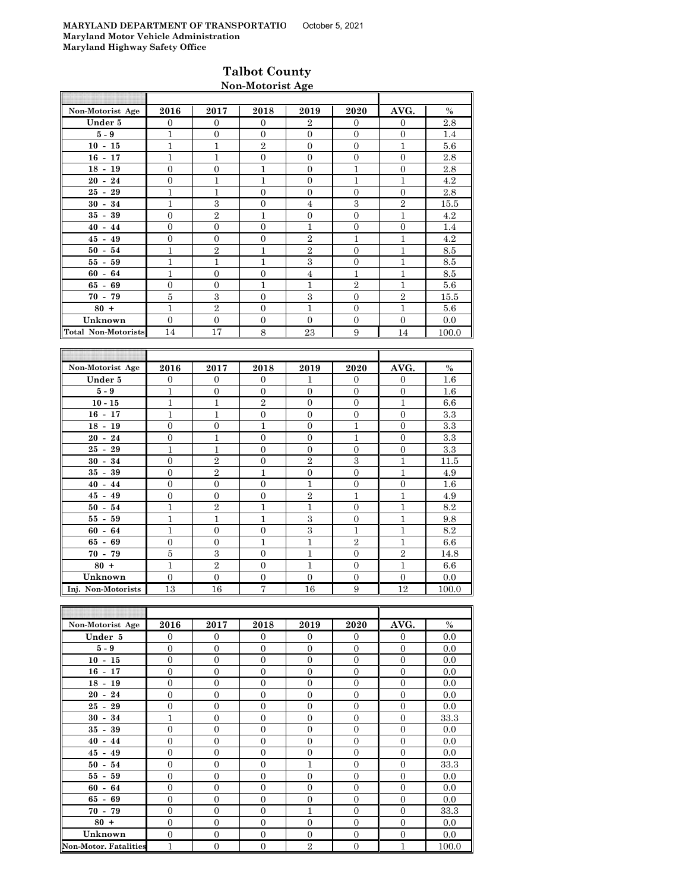### **Talbot County Non-Motorist Age**

| Non-Motorist Age                                | 2016           | 2017             | 2018           | 2019             | 2020             | AVG.           | $\%$                      |
|-------------------------------------------------|----------------|------------------|----------------|------------------|------------------|----------------|---------------------------|
| Under 5                                         | $\overline{0}$ | $\mathbf{0}$     | $\Omega$       | $\overline{2}$   | $\overline{0}$   | $\mathbf{0}$   | 2.8                       |
| $5 - 9$                                         | $\overline{1}$ | $\overline{0}$   | $\Omega$       | $\Omega$         | $\Omega$         | $\overline{0}$ | 1.4                       |
| $10 - 15$                                       | $\overline{1}$ | $\,1\,$          | $\sqrt{2}$     | $\boldsymbol{0}$ | $\boldsymbol{0}$ | $\mathbf{1}$   | 5.6                       |
| $16 - 17$                                       | $\overline{1}$ | $\mathbf{1}$     | $\Omega$       | $\overline{0}$   | $\overline{0}$   | $\overline{0}$ | 2.8                       |
| $18 - 19$                                       | $\overline{0}$ | $\overline{0}$   | $\mathbf{1}$   | $\Omega$         | $\overline{1}$   | $\overline{0}$ | 2.8                       |
| $20 - 24$                                       | $\overline{0}$ | $\mathbf{1}$     | $\mathbf{1}$   | $\overline{0}$   | $\mathbf{1}$     | $\mathbf{1}$   | 4.2                       |
| $25 - 29$                                       | $\overline{1}$ | $\mathbf{1}$     | $\theta$       | $\overline{0}$   | $\overline{0}$   | $\overline{0}$ | 2.8                       |
| $30 - 34$                                       | $\mathbf{1}$   | $\,3$            | $\mathbf{0}$   | $\overline{4}$   | $\,3$            | $\overline{2}$ | 15.5                      |
| $35 - 39$                                       | $\overline{0}$ | $\overline{2}$   | 1              | $\mathbf{0}$     | $\overline{0}$   | $\mathbf{1}$   | 4.2                       |
| $40 - 44$                                       | $\overline{0}$ | $\mathbf{0}$     | $\Omega$       | $\mathbf{1}$     | $\mathbf{0}$     | $\mathbf{0}$   | 1.4                       |
| $45 - 49$                                       | $\overline{0}$ | $\overline{0}$   | $\overline{0}$ | $\overline{2}$   | $\mathbf{1}$     | $\mathbf{1}$   | 4.2                       |
| $50 - 54$                                       | $\mathbf{1}$   | $\overline{2}$   | $\mathbf 1$    | $\overline{2}$   | $\boldsymbol{0}$ | $\mathbf 1$    | 8.5                       |
| $55 - 59$                                       | $\mathbf{1}$   | $\mathbf{1}$     | $\overline{1}$ | 3                | $\boldsymbol{0}$ | $\mathbf{1}$   | 8.5                       |
| $60 - 64$                                       | $\mathbf{1}$   | $\mathbf{0}$     | $\overline{0}$ | $\overline{4}$   | $\mathbf{1}$     | $\mathbf{1}$   | 8.5                       |
| $65 - 69$                                       | $\overline{0}$ | $\overline{0}$   | $\mathbf{1}$   | $\mathbf{1}$     | $\overline{2}$   | $\mathbf{1}$   | 5.6                       |
| $70 - 79$                                       | $\bf 5$        | $\,3$            | $\Omega$       | $\,3$            | $\overline{0}$   | $\,2$          | 15.5                      |
| $80 +$                                          | $\mathbf 1$    | $\,2$            | $\Omega$       | $\mathbf{1}$     | $\overline{0}$   | $\mathbf{1}$   | 5.6                       |
| Unknown                                         | $\overline{0}$ | $\boldsymbol{0}$ | $\Omega$       | $\mathbf{0}$     | $\mathbf{0}$     | $\mathbf{0}$   | 0.0                       |
| <b>Total Non-Motorists</b>                      | 14             | 17               | 8              | 23               | 9                | 14             | 100.0                     |
|                                                 |                |                  |                |                  |                  |                |                           |
|                                                 |                |                  |                |                  |                  |                |                           |
| Non-Motorist Age                                | 2016           | 2017             | 2018           | 2019             | 2020             | AVG.           | $\frac{0}{0}$             |
| Under 5                                         | $\overline{0}$ | $\Omega$         | $\Omega$       | $\mathbf{1}$     | $\overline{0}$   | $\Omega$       | 1.6                       |
| $5 - 9$                                         | $\overline{1}$ | $\overline{0}$   | $\Omega$       | $\overline{0}$   | $\Omega$         | $\overline{0}$ | 1.6                       |
| $10 - 15$                                       | $\overline{1}$ | $\mathbf{1}$     | $\sqrt{2}$     | $\mathbf{0}$     | $\overline{0}$   | $\mathbf{1}$   | 6.6                       |
| $16 - 17$                                       | $\mathbf{1}$   | $\mathbf{1}$     | $\Omega$       | $\Omega$         | $\overline{0}$   | $\Omega$       | 3.3                       |
| $18 - 19$                                       | $\overline{0}$ | $\overline{0}$   | $\mathbf{1}$   | $\overline{0}$   | $\mathbf{1}$     | $\Omega$       | 3.3                       |
| $20 - 24$                                       | $\overline{0}$ | $\mathbf{1}$     | $\overline{0}$ | $\overline{0}$   | $\mathbf{1}$     | $\overline{0}$ | 3.3                       |
| $25 - 29$                                       | $\mathbf{1}$   | $\mathbf 1$      | $\Omega$       | $\overline{0}$   | $\overline{0}$   | $\Omega$       | 3.3                       |
| $30 - 34$                                       | $\overline{0}$ | $\overline{2}$   | $\mathbf{0}$   | $\overline{2}$   | 3                | $\mathbf{1}$   | 11.5                      |
| $35 - 39$                                       | $\mathbf{0}$   | $\overline{2}$   | $\mathbf{1}$   | $\boldsymbol{0}$ | $\boldsymbol{0}$ | $\mathbf{1}$   | 4.9                       |
| $\mathbf{A} \mathbf{A}$ $\mathbf{A} \mathbf{A}$ | $\Omega$       | $\Omega$         | $\Omega$       | 1                | $\Omega$         | $\Omega$       | $1 \, \textcolor{red}{C}$ |

| $10 - 11$          | л.             | <b>T</b>       | v        | $\mathbf v$    | $\mathbf v$    | $\mathbf v$    | Ω.∪   |
|--------------------|----------------|----------------|----------|----------------|----------------|----------------|-------|
| $18 - 19$          | $\overline{0}$ | $\Omega$       |          | $\overline{0}$ |                | $\mathbf{0}$   | 3.3   |
| $20 - 24$          | $\overline{0}$ |                | $\Omega$ | $\theta$       |                | $\mathbf{0}$   | 3.3   |
| $25 - 29$          | 1              |                | $\Omega$ | $\theta$       | $\mathbf{0}$   | $\mathbf{0}$   | 3.3   |
| $30 - 34$          | $\Omega$       | $\overline{2}$ | $\Omega$ | $\overline{2}$ | 3              | 1              | 11.5  |
| $35 - 39$          | $\overline{0}$ | $\overline{2}$ | 1        | $\theta$       | $\Omega$       |                | 4.9   |
| $40 - 44$          | $\Omega$       | $\Omega$       | $\Omega$ | 1              | $\Omega$       | $\Omega$       | 1.6   |
| $45 - 49$          | $\overline{0}$ | $\Omega$       | $\Omega$ | $\overline{2}$ |                | 1              | 4.9   |
| $50 - 54$          | 1              | $\overline{2}$ | 1        | 1              | $\Omega$       |                | 8.2   |
| $55 - 59$          |                | 1              |          | 3              | $\Omega$       |                | 9.8   |
| $60 - 64$          |                | $\Omega$       | $\Omega$ | 3              |                |                | 8.2   |
| $65 - 69$          | $\Omega$       | $\Omega$       | 1        | 1              | $\overline{2}$ | 1              | 6.6   |
| $70 - 79$          | 5              | 3              | $\Omega$ | 1              | $\Omega$       | $\overline{2}$ | 14.8  |
| $80 +$             | 1              | $\overline{2}$ | $\Omega$ |                | $\Omega$       | 1              | 6.6   |
| Unknown            | $\Omega$       | $\Omega$       | $\Omega$ | $\Omega$       | $\Omega$       | $\Omega$       | 0.0   |
| Inj. Non-Motorists | 13             | 16             | Π,       | 16             | 9              | 12             | 100.0 |

| Non-Motorist Age             | 2016           | 2017             | 2018           | 2019           | 2020             | AVG.           | $\%$  |
|------------------------------|----------------|------------------|----------------|----------------|------------------|----------------|-------|
| Under 5                      | $\Omega$       | $\overline{0}$   | $\Omega$       | $\Omega$       | $\Omega$         | $\Omega$       | 0.0   |
| $5-9$                        | $\mathbf{0}$   | $\overline{0}$   | $\overline{0}$ | $\overline{0}$ | $\overline{0}$   | $\overline{0}$ | 0.0   |
| $10 - 15$                    | $\mathbf{0}$   | $\mathbf{0}$     | $\overline{0}$ | $\overline{0}$ | $\overline{0}$   | $\overline{0}$ | 0.0   |
| $16 - 17$                    | $\mathbf{0}$   | $\mathbf{0}$     | $\overline{0}$ | $\overline{0}$ | $\overline{0}$   | $\overline{0}$ | 0.0   |
| $18 - 19$                    | $\mathbf{0}$   | $\overline{0}$   | $\overline{0}$ | $\overline{0}$ | $\overline{0}$   | $\overline{0}$ | 0.0   |
| $20 - 24$                    | $\Omega$       | $\overline{0}$   | $\Omega$       | $\Omega$       | $\overline{0}$   | $\Omega$       | 0.0   |
| $25 - 29$                    | $\mathbf{0}$   | $\mathbf{0}$     | $\overline{0}$ | $\overline{0}$ | $\overline{0}$   | $\overline{0}$ | 0.0   |
| $30 - 34$                    | 1              | $\mathbf{0}$     | $\overline{0}$ | $\overline{0}$ | $\overline{0}$   | $\overline{0}$ | 33.3  |
| $35 - 39$                    | $\mathbf{0}$   | $\mathbf{0}$     | $\overline{0}$ | $\overline{0}$ | $\overline{0}$   | $\overline{0}$ | 0.0   |
| $40 - 44$                    | $\overline{0}$ | $\mathbf{0}$     | $\overline{0}$ | $\overline{0}$ | $\overline{0}$   | $\overline{0}$ | 0.0   |
| $45 - 49$                    | $\Omega$       | $\overline{0}$   | $\Omega$       | $\theta$       | $\Omega$         | $\Omega$       | 0.0   |
| $50 - 54$                    | $\mathbf{0}$   | $\overline{0}$   | $\overline{0}$ | 1              | $\overline{0}$   | $\overline{0}$ | 33.3  |
| $55 - 59$                    | $\overline{0}$ | $\overline{0}$   | $\overline{0}$ | $\overline{0}$ | $\overline{0}$   | $\overline{0}$ | 0.0   |
| $60 - 64$                    | $\mathbf{0}$   | $\mathbf{0}$     | $\overline{0}$ | $\overline{0}$ | $\overline{0}$   | $\overline{0}$ | 0.0   |
| $65 - 69$                    | $\overline{0}$ | $\boldsymbol{0}$ | $\overline{0}$ | $\overline{0}$ | $\overline{0}$   | $\overline{0}$ | 0.0   |
| $70 - 79$                    | $\Omega$       | $\mathbf{0}$     | $\Omega$       | 1              | $\Omega$         | $\Omega$       | 33.3  |
| $80 +$                       | $\mathbf{0}$   | $\overline{0}$   | $\Omega$       | $\overline{0}$ | $\mathbf{0}$     | $\Omega$       | 0.0   |
| Unknown                      | $\mathbf{0}$   | $\mathbf{0}$     | $\overline{0}$ | $\overline{0}$ | $\overline{0}$   | $\overline{0}$ | 0.0   |
| <b>Non-Motor. Fatalities</b> | $\overline{1}$ | $\mathbf{0}$     | $\overline{0}$ | $\overline{2}$ | $\boldsymbol{0}$ | $\mathbf{1}$   | 100.0 |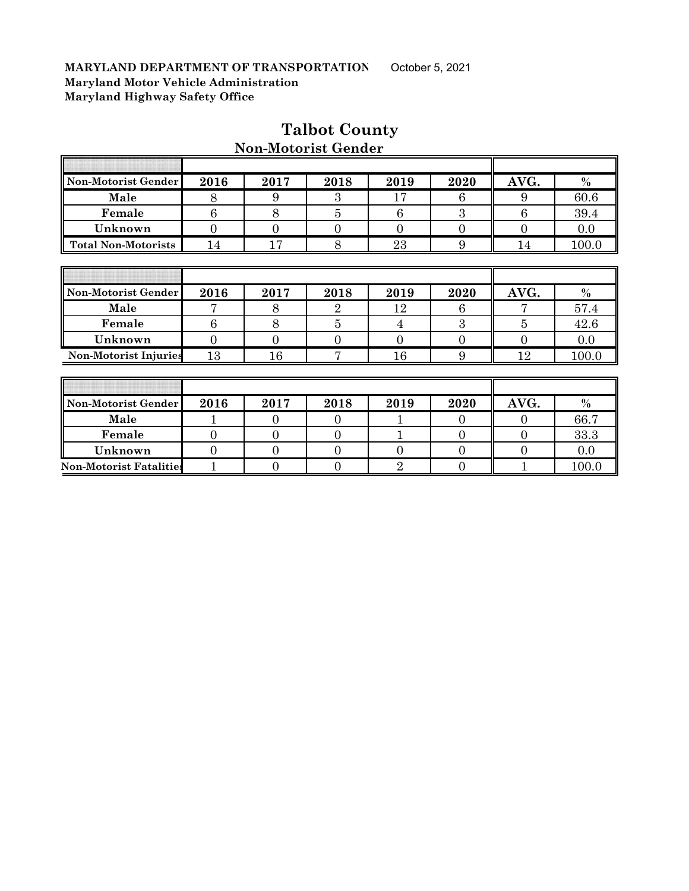F

| Non-Motorist Gender            | 2016           | 2017           | 2018           | 2019           | 2020           | AVG.             | $\%$  |
|--------------------------------|----------------|----------------|----------------|----------------|----------------|------------------|-------|
| Male                           | 8              | 9              | 3              | 17             | 6              | 9                | 60.6  |
| Female                         | 6              | 8              | $\overline{5}$ | 6              | 3              | 6                | 39.4  |
| Unknown                        | $\overline{0}$ | $\overline{0}$ | 0              | $\Omega$       | $\overline{0}$ | $\overline{0}$   | 0.0   |
| <b>Total Non-Motorists</b>     | 14             | 17             | 8              | 23             | 9              | 14               | 100.0 |
|                                |                |                |                |                |                |                  |       |
|                                |                |                |                |                |                |                  |       |
| Non-Motorist Gender            | 2016           | 2017           | 2018           | 2019           | 2020           | AVG.             | $\%$  |
| Male                           | 7              | 8              | $\overline{2}$ | 12             | 6              | 7                | 57.4  |
| Female                         | 6              | 8              | $\overline{5}$ | 4              | 3              | $\overline{5}$   | 42.6  |
| Unknown                        | $\overline{0}$ | $\overline{0}$ | 0              | $\Omega$       | $\overline{0}$ | $\overline{0}$   | 0.0   |
| <b>Non-Motorist Injuries</b>   | 13             | 16             | 7              | 16             | 9              | 12               | 100.0 |
|                                |                |                |                |                |                |                  |       |
|                                |                |                |                |                |                |                  |       |
| Non-Motorist Gender            | 2016           | 2017           | 2018           | 2019           | 2020           | AVG.             | $\%$  |
| Male                           |                | $\overline{0}$ | 0              |                | $\Omega$       | $\Omega$         | 66.7  |
| Female                         | $\overline{0}$ | $\overline{0}$ | $\overline{0}$ |                | $\overline{0}$ | $\boldsymbol{0}$ | 33.3  |
| Unknown                        | $\overline{0}$ | $\overline{0}$ | $\overline{0}$ | $\theta$       | $\overline{0}$ | $\overline{0}$   | 0.0   |
| <b>Non-Motorist Fatalities</b> | 1              | $\overline{0}$ | $\overline{0}$ | $\overline{2}$ | $\overline{0}$ |                  | 100.0 |

## **Talbot County**

ī

 $\overline{\mathbf{r}}$ 

### **Non-Motorist Gender**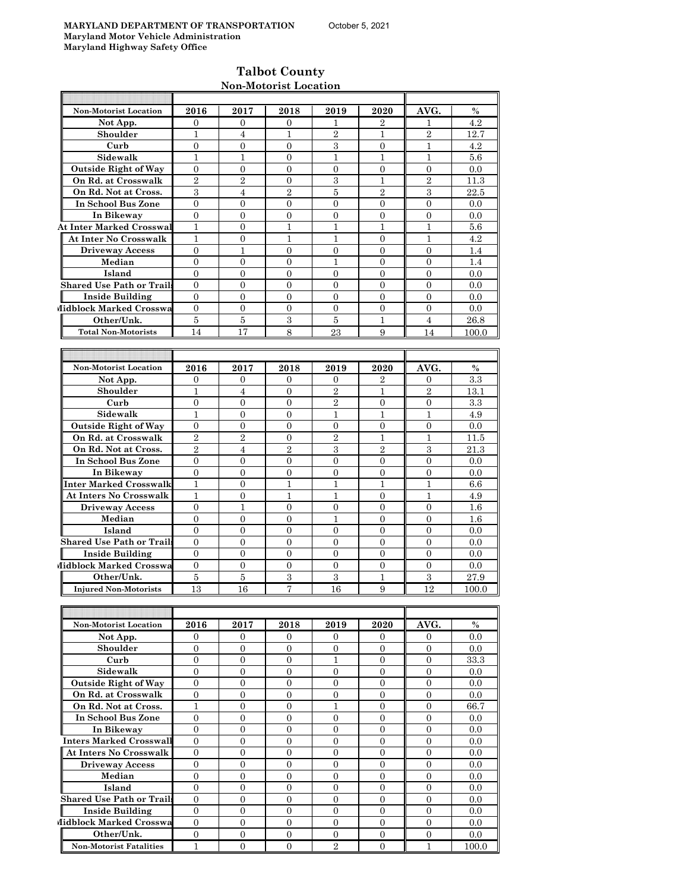### **Talbot County Non-Motorist Location**

| <b>Non-Motorist Location</b>     | 2016             | 2017             | 2018             | 2019             | 2020             | AVG.             | $\%$    |
|----------------------------------|------------------|------------------|------------------|------------------|------------------|------------------|---------|
| Not App.                         | $\mathbf{0}$     | 0                | 0                | 1                | 2                | 1                | 4.2     |
| Shoulder                         | 1                | $\overline{4}$   | 1                | $\overline{2}$   | $\mathbf{1}$     | $\overline{2}$   | 12.7    |
| Curb                             | $\overline{0}$   | $\overline{0}$   | $\overline{0}$   | 3                | $\overline{0}$   | 1                | 4.2     |
| Sidewalk                         | 1                | 1                | $\overline{0}$   | 1                | 1                | 1                | 5.6     |
| <b>Outside Right of Way</b>      | $\overline{0}$   | $\overline{0}$   | $\overline{0}$   | $\overline{0}$   | $\Omega$         | $\overline{0}$   | 0.0     |
| On Rd. at Crosswalk              | $\overline{2}$   | $\overline{2}$   | $\overline{0}$   | 3                | $\mathbf{1}$     | $\overline{2}$   | 11.3    |
| On Rd. Not at Cross.             | 3                | 4                | $\overline{2}$   | 5                | $\boldsymbol{2}$ | 3                | 22.5    |
| In School Bus Zone               | $\overline{0}$   | $\overline{0}$   | $\overline{0}$   | $\overline{0}$   | $\overline{0}$   | $\overline{0}$   | 0.0     |
| In Bikeway                       | $\overline{0}$   | $\overline{0}$   | $\overline{0}$   | $\overline{0}$   | $\overline{0}$   | $\overline{0}$   | 0.0     |
| <b>At Inter Marked Crosswal</b>  | $\mathbf{1}$     | $\overline{0}$   | 1                | 1                | $\mathbf{1}$     | 1                | 5.6     |
| <b>At Inter No Crosswalk</b>     | 1                | $\overline{0}$   | 1                | 1                | $\overline{0}$   | 1                | 4.2     |
| <b>Driveway Access</b>           | $\overline{0}$   | 1                | $\overline{0}$   | $\overline{0}$   | $\Omega$         | $\Omega$         | 1.4     |
| Median                           | $\overline{0}$   | $\overline{0}$   | $\overline{0}$   | 1                | $\overline{0}$   | $\overline{0}$   | 1.4     |
| Island                           | $\overline{0}$   | $\mathbf{0}$     | 0                | $\mathbf{0}$     | $\mathbf{0}$     | 0                | 0.0     |
| <b>Shared Use Path or Trails</b> | $\overline{0}$   | $\overline{0}$   | $\overline{0}$   | $\overline{0}$   | $\overline{0}$   | $\overline{0}$   | 0.0     |
| <b>Inside Building</b>           | $\mathbf{0}$     | $\overline{0}$   | $\overline{0}$   | $\overline{0}$   | $\overline{0}$   | $\overline{0}$   | 0.0     |
| Midblock Marked Crosswa          | $\mathbf{0}$     | $\overline{0}$   | $\overline{0}$   | $\mathbf{0}$     | $\overline{0}$   | $\overline{0}$   | 0.0     |
| Other/Unk.                       | 5                | 5                | 3                | 5                | 1                | 4                | 26.8    |
| <b>Total Non-Motorists</b>       | 14               | 17               | 8                | 23               | 9                | 14               | 100.0   |
|                                  |                  |                  |                  |                  |                  |                  |         |
|                                  |                  |                  |                  |                  |                  |                  |         |
| Non-Motorist Location            | 2016             |                  |                  |                  |                  | AVG.             | $\%$    |
|                                  |                  | 2017             | 2018             | 2019             | 2020             |                  |         |
| Not App.                         | $\overline{0}$   | $\mathbf{0}$     | 0                | $\mathbf{0}$     | 2                | $\mathbf{0}$     | $3.3\,$ |
| Shoulder                         | $\mathbf{1}$     | $\overline{4}$   | $\overline{0}$   | $\overline{2}$   | $\mathbf{1}$     | $\overline{2}$   | 13.1    |
| Curb                             | $\boldsymbol{0}$ | $\overline{0}$   | $\overline{0}$   | $\overline{2}$   | $\overline{0}$   | $\overline{0}$   | 3.3     |
| Sidewalk                         | 1                | 0                | 0                | 1                | 1                | 1                | 4.9     |
| <b>Outside Right of Way</b>      | $\overline{0}$   | $\overline{0}$   | $\overline{0}$   | $\boldsymbol{0}$ | $\overline{0}$   | 0                | 0.0     |
| On Rd. at Crosswalk              | $\overline{2}$   | $\overline{2}$   | $\overline{0}$   | $\overline{2}$   | 1                | 1                | 11.5    |
| On Rd. Not at Cross.             | $\overline{2}$   | 4                | $\overline{2}$   | 3                | $\overline{2}$   | 3                | 21.3    |
| In School Bus Zone               | $\overline{0}$   | $\overline{0}$   | $\overline{0}$   | $\overline{0}$   | $\overline{0}$   | $\overline{0}$   | 0.0     |
| In Bikeway                       | $\overline{0}$   | $\mathbf{0}$     | $\overline{0}$   | $\mathbf{0}$     | $\mathbf{0}$     | $\theta$         | 0.0     |
| Inter Marked Crosswalk           | $\mathbf{1}$     | $\mathbf{0}$     | $\mathbf{1}$     | $\mathbf{1}$     | $\mathbf{1}$     | $\mathbf{1}$     | 6.6     |
| <b>At Inters No Crosswalk</b>    | 1                | 0                | 1                | 1                | $\overline{0}$   | 1                | 4.9     |
| <b>Driveway Access</b>           | $\overline{0}$   | 1                | 0                | 0                | $\mathbf{0}$     | $\mathbf{0}$     | 1.6     |
| Median                           | $\theta$         | $\mathbf{0}$     | $\overline{0}$   | 1                | $\overline{0}$   | $\overline{0}$   | 1.6     |
| Island                           | $\mathbf{0}$     | 0                | $\overline{0}$   | $\overline{0}$   | $\overline{0}$   | $\mathbf{0}$     | 0.0     |
| <b>Shared Use Path or Trails</b> | $\overline{0}$   | $\overline{0}$   | $\overline{0}$   | 0                | $\overline{0}$   | $\overline{0}$   | 0.0     |
| <b>Inside Building</b>           | $\Omega$         | $\overline{0}$   | $\overline{0}$   | $\overline{0}$   | $\Omega$         | $\theta$         | 0.0     |
| Midblock Marked Crosswa          | $\overline{0}$   | $\overline{0}$   | $\boldsymbol{0}$ | $\mathbf{0}$     | $\overline{0}$   | $\overline{0}$   | 0.0     |
| Other/Unk.                       | 5                | 5                | $\boldsymbol{3}$ | 3                | 1                | 3                | 27.9    |
| <b>Injured Non-Motorists</b>     | 13               | 16               | 7                | 16               | 9                | 12               | 100.0   |
|                                  |                  |                  |                  |                  |                  |                  |         |
|                                  |                  |                  |                  |                  |                  |                  |         |
| Non-Motorist Location            | 2016             | 2017             | 2018             | 2019             | 2020             | AVG.             | $\%$    |
| Not App.                         | $\mathbf{0}$     | $\mathbf{0}$     | 0                | 0                | $\overline{0}$   | $\mathbf{0}$     | 0.0     |
| Shoulder                         | $\overline{0}$   | $\overline{0}$   | $\overline{0}$   | $\overline{0}$   | $\mathbf{0}$     | $\mathbf{0}$     | 0.0     |
| Curb                             | $\mathbf{0}$     | $\mathbf{0}$     | $\boldsymbol{0}$ | $\mathbf{1}$     | $\overline{0}$   | $\overline{0}$   | 33.3    |
| Sidewalk                         | $\overline{0}$   | $\overline{0}$   | 0                | $\overline{0}$   | $\overline{0}$   | $\overline{0}$   | 0.0     |
| <b>Outside Right of Way</b>      | $\mathbf{0}$     | $\overline{0}$   | $\boldsymbol{0}$ | $\mathbf{0}$     | $\mathbf{0}$     | $\mathbf{0}$     | 0.0     |
| On Rd. at Crosswalk              | $\boldsymbol{0}$ | $\boldsymbol{0}$ | $\boldsymbol{0}$ | $\boldsymbol{0}$ | $\boldsymbol{0}$ | $\boldsymbol{0}$ | 0.0     |
|                                  | $\mathbf{1}$     |                  |                  |                  |                  |                  |         |
| On Rd. Not at Cross.             |                  | 0                | 0                | $\mathbf 1$      | $\boldsymbol{0}$ | $\mathbf{0}$     | 66.7    |
| In School Bus Zone               | $\overline{0}$   | 0                | 0                | 0                | $\boldsymbol{0}$ | $\mathbf{0}$     | 0.0     |
| In Bikeway                       | $\mathbf{0}$     | $\overline{0}$   | $\overline{0}$   | $\overline{0}$   | $\mathbf{0}$     | $\mathbf{0}$     | 0.0     |
| Inters Marked Crosswall          | $\boldsymbol{0}$ | $\boldsymbol{0}$ | $\boldsymbol{0}$ | $\mathbf{0}$     | $\mathbf{0}$     | $\mathbf{0}$     | 0.0     |
| At Inters No Crosswalk           | $\mathbf{0}$     | $\overline{0}$   | 0                | $\overline{0}$   | $\overline{0}$   | $\mathbf{0}$     | $0.0\,$ |
| <b>Driveway Access</b>           | $\overline{0}$   | $\overline{0}$   | $\overline{0}$   | $\overline{0}$   | $\overline{0}$   | $\mathbf{0}$     | 0.0     |
| Median                           | $\boldsymbol{0}$ | $\boldsymbol{0}$ | $\boldsymbol{0}$ | $\overline{0}$   | $\boldsymbol{0}$ | $\mathbf{0}$     | 0.0     |
| Island                           | $\mathbf{0}$     | $\overline{0}$   | $\boldsymbol{0}$ | $\overline{0}$   | $\mathbf{0}$     | $\boldsymbol{0}$ | 0.0     |
| <b>Shared Use Path or Trails</b> | $\overline{0}$   | 0                | 0                | 0                | $\boldsymbol{0}$ | $\mathbf{0}$     | 0.0     |
| <b>Inside Building</b>           | $\mathbf{0}$     | $\overline{0}$   | $\overline{0}$   | $\overline{0}$   | $\mathbf{0}$     | $\mathbf{0}$     | 0.0     |
| Midblock Marked Crosswa          | $\mathbf{0}$     | $\overline{0}$   | $\boldsymbol{0}$ | $\overline{0}$   | $\boldsymbol{0}$ | 0                | $0.0\,$ |
| Other/Unk.                       | $\overline{0}$   | $\overline{0}$   | 0                | $\overline{0}$   | $\overline{0}$   | $\mathbf{0}$     | 0.0     |

**Non-Motorist Fatalities** 1 0 0 0 2 0 1 1 100.0

 $\mathbb I$